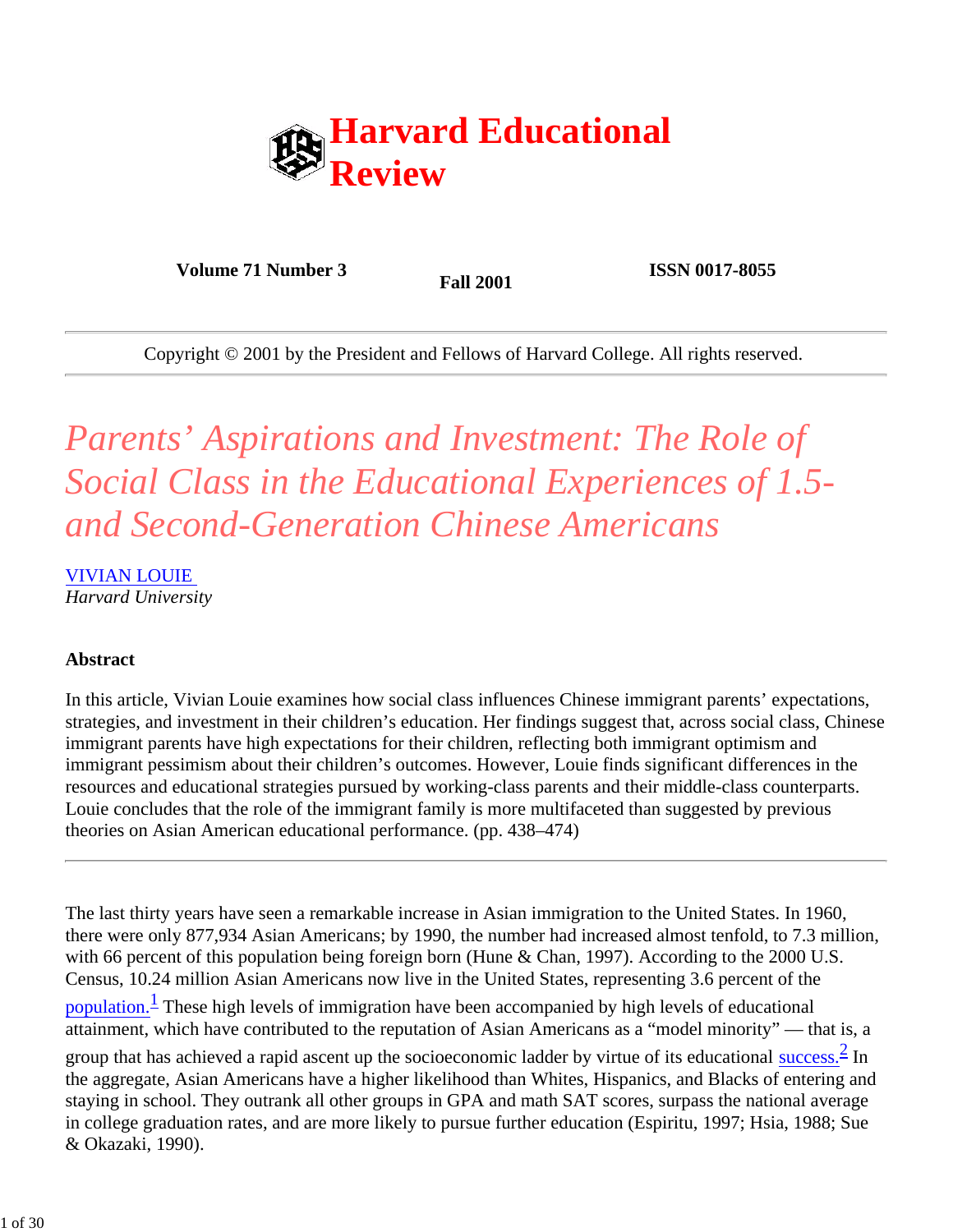

**Volume 71 Number 3 Fall 2001 ISSN 0017-8055** 

Copyright © 2001 by the President and Fellows of Harvard College. All rights reserved.

# *Parents' Aspirations and Investment: The Role of Social Class in the Educational Experiences of 1.5 and Second-Generation Chinese Americans*

VIVIAN LOUIE *Harvard University*

# **Abstract**

In this article, Vivian Louie examines how social class influences Chinese immigrant parents' expectations, strategies, and investment in their children's education. Her findings suggest that, across social class, Chinese immigrant parents have high expectations for their children, reflecting both immigrant optimism and immigrant pessimism about their children's outcomes. However, Louie finds significant differences in the resources and educational strategies pursued by working-class parents and their middle-class counterparts. Louie concludes that the role of the immigrant family is more multifaceted than suggested by previous theories on Asian American educational performance. (pp. 438–474)

The last thirty years have seen a remarkable increase in Asian immigration to the United States. In 1960, there were only 877,934 Asian Americans; by 1990, the number had increased almost tenfold, to 7.3 million, with 66 percent of this population being foreign born (Hune & Chan, 1997). According to the 2000 U.S. Census, 10.24 million Asian Americans now live in the United States, representing 3.6 percent of the

population.<sup>1</sup> These high levels of immigration have been accompanied by high levels of educational attainment, which have contributed to the reputation of Asian Americans as a "model minority" — that is, a

group that has achieved a rapid ascent up the socioeconomic ladder by virtue of its educational success.  $\frac{2}{3}$  In the aggregate, Asian Americans have a higher likelihood than Whites, Hispanics, and Blacks of entering and staying in school. They outrank all other groups in GPA and math SAT scores, surpass the national average in college graduation rates, and are more likely to pursue further education (Espiritu, 1997; Hsia, 1988; Sue & Okazaki, 1990).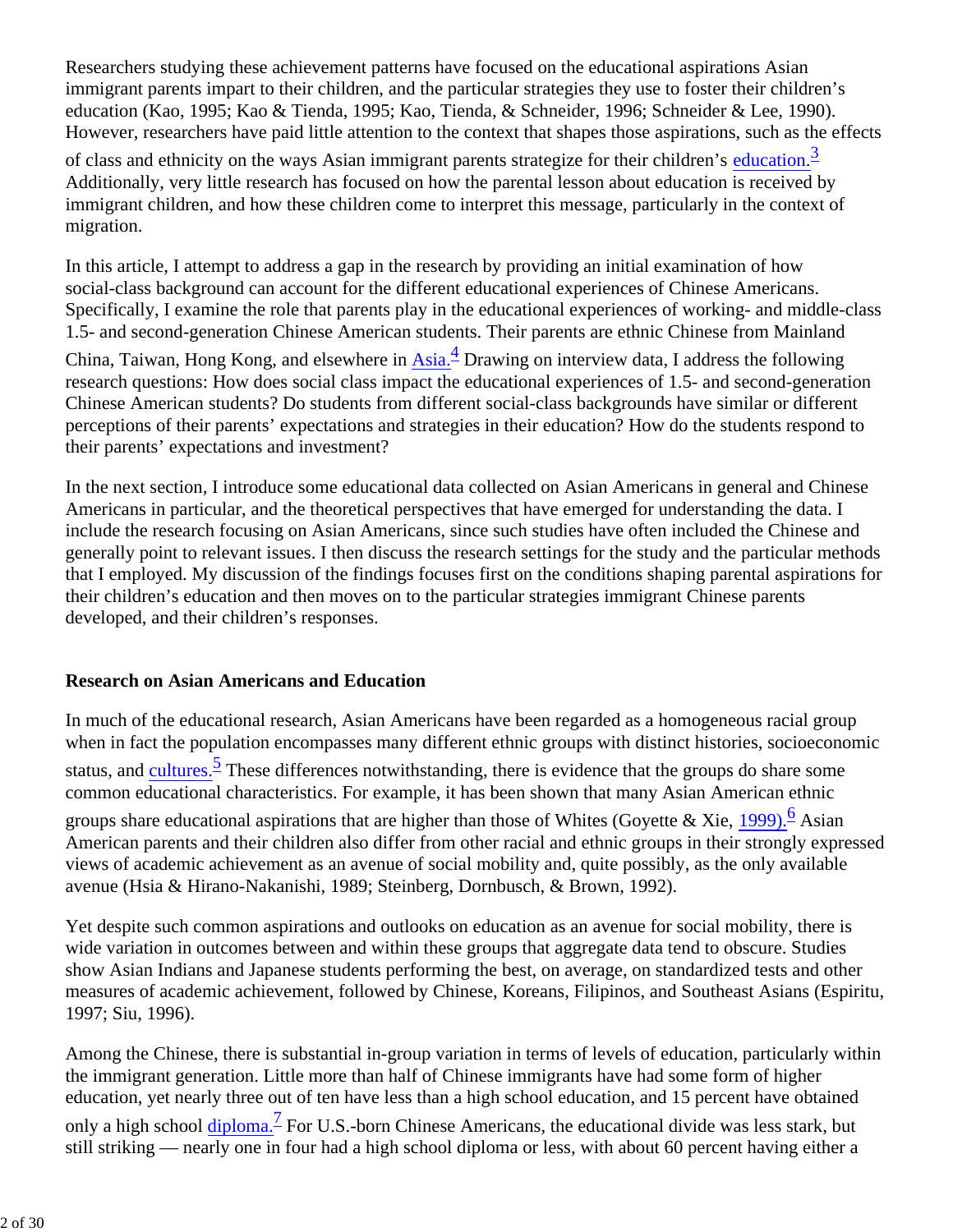Researchers studying these achievement patterns have focused on the educational aspirations Asian immigrant parents impart to their children, and the particular strategies they use to foster their children's education (Kao, 1995; Kao & Tienda, 1995; Kao, Tienda, & Schneider, 1996; Schneider & Lee, 1990). However, researchers have paid little attention to the context that shapes those aspirations, such as the effects

of class and ethnicity on the ways Asian immigrant parents strategize for their children's education.<sup>3</sup> Additionally, very little research has focused on how the parental lesson about education is received by immigrant children, and how these children come to interpret this message, particularly in the context of migration.

In this article, I attempt to address a gap in the research by providing an initial examination of how social-class background can account for the different educational experiences of Chinese Americans. Specifically, I examine the role that parents play in the educational experiences of working- and middle-class 1.5- and second-generation Chinese American students. Their parents are ethnic Chinese from Mainland China, Taiwan, Hong Kong, and elsewhere in *Asia*.<sup>4</sup> Drawing on interview data, I address the following research questions: How does social class impact the educational experiences of 1.5- and second-generation Chinese American students? Do students from different social-class backgrounds have similar or different perceptions of their parents' expectations and strategies in their education? How do the students respond to their parents' expectations and investment?

In the next section, I introduce some educational data collected on Asian Americans in general and Chinese Americans in particular, and the theoretical perspectives that have emerged for understanding the data. I include the research focusing on Asian Americans, since such studies have often included the Chinese and generally point to relevant issues. I then discuss the research settings for the study and the particular methods that I employed. My discussion of the findings focuses first on the conditions shaping parental aspirations for their children's education and then moves on to the particular strategies immigrant Chinese parents developed, and their children's responses.

### **Research on Asian Americans and Education**

In much of the educational research, Asian Americans have been regarded as a homogeneous racial group when in fact the population encompasses many different ethnic groups with distinct histories, socioeconomic status, and cultures.<sup>5</sup> These differences notwithstanding, there is evidence that the groups do share some common educational characteristics. For example, it has been shown that many Asian American ethnic groups share educational aspirations that are higher than those of Whites (Goyette & Xie, 1999).<sup>6</sup> Asian American parents and their children also differ from other racial and ethnic groups in their strongly expressed views of academic achievement as an avenue of social mobility and, quite possibly, as the only available avenue (Hsia & Hirano-Nakanishi, 1989; Steinberg, Dornbusch, & Brown, 1992).

Yet despite such common aspirations and outlooks on education as an avenue for social mobility, there is wide variation in outcomes between and within these groups that aggregate data tend to obscure. Studies show Asian Indians and Japanese students performing the best, on average, on standardized tests and other measures of academic achievement, followed by Chinese, Koreans, Filipinos, and Southeast Asians (Espiritu, 1997; Siu, 1996).

Among the Chinese, there is substantial in-group variation in terms of levels of education, particularly within the immigrant generation. Little more than half of Chinese immigrants have had some form of higher education, yet nearly three out of ten have less than a high school education, and 15 percent have obtained only a high school diploma.<sup>7</sup> For U.S.-born Chinese Americans, the educational divide was less stark, but still striking — nearly one in four had a high school diploma or less, with about 60 percent having either a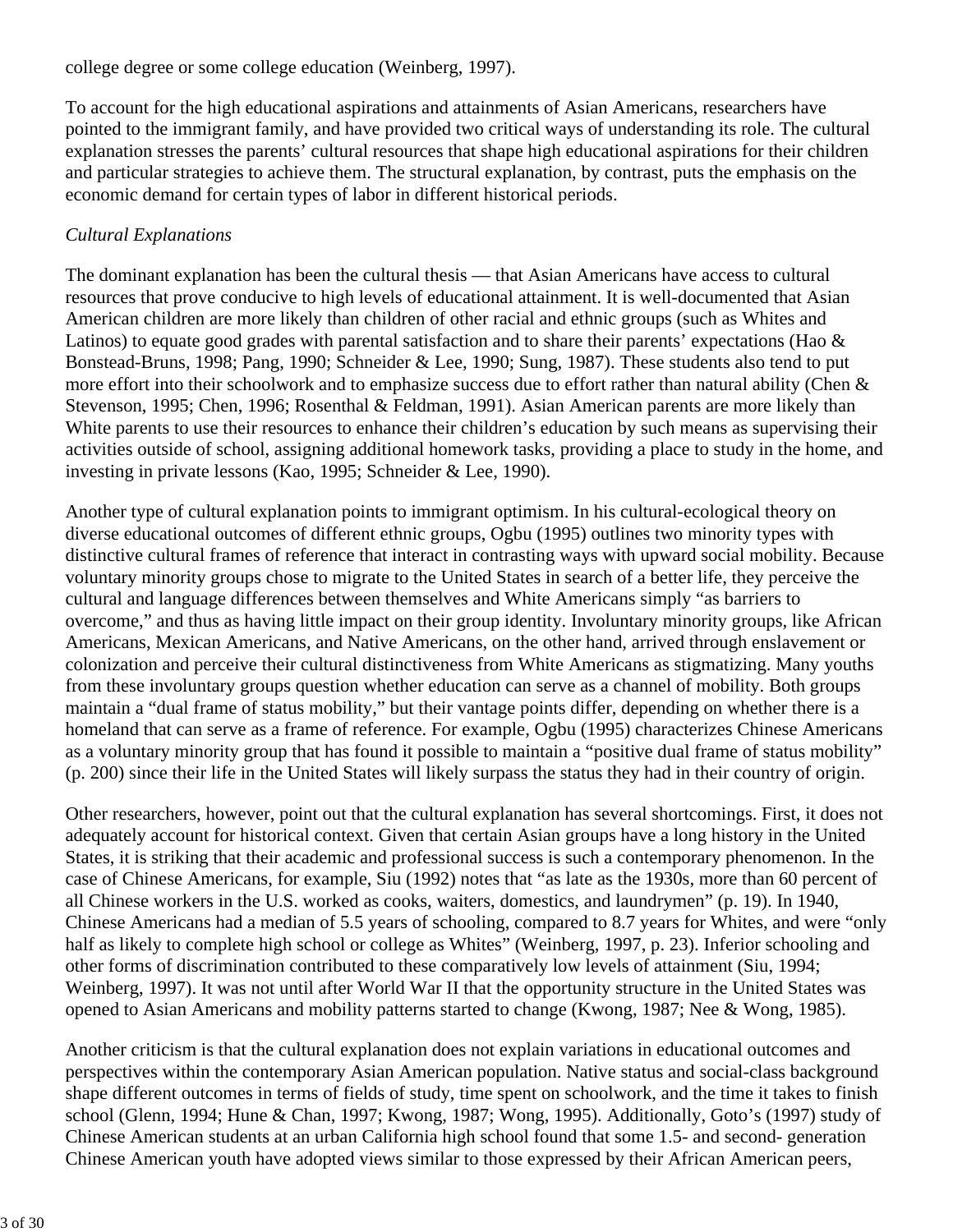### college degree or some college education (Weinberg, 1997).

To account for the high educational aspirations and attainments of Asian Americans, researchers have pointed to the immigrant family, and have provided two critical ways of understanding its role. The cultural explanation stresses the parents' cultural resources that shape high educational aspirations for their children and particular strategies to achieve them. The structural explanation, by contrast, puts the emphasis on the economic demand for certain types of labor in different historical periods.

# *Cultural Explanations*

The dominant explanation has been the cultural thesis — that Asian Americans have access to cultural resources that prove conducive to high levels of educational attainment. It is well-documented that Asian American children are more likely than children of other racial and ethnic groups (such as Whites and Latinos) to equate good grades with parental satisfaction and to share their parents' expectations (Hao & Bonstead-Bruns, 1998; Pang, 1990; Schneider & Lee, 1990; Sung, 1987). These students also tend to put more effort into their schoolwork and to emphasize success due to effort rather than natural ability (Chen & Stevenson, 1995; Chen, 1996; Rosenthal & Feldman, 1991). Asian American parents are more likely than White parents to use their resources to enhance their children's education by such means as supervising their activities outside of school, assigning additional homework tasks, providing a place to study in the home, and investing in private lessons (Kao, 1995; Schneider & Lee, 1990).

Another type of cultural explanation points to immigrant optimism. In his cultural-ecological theory on diverse educational outcomes of different ethnic groups, Ogbu (1995) outlines two minority types with distinctive cultural frames of reference that interact in contrasting ways with upward social mobility. Because voluntary minority groups chose to migrate to the United States in search of a better life, they perceive the cultural and language differences between themselves and White Americans simply "as barriers to overcome," and thus as having little impact on their group identity. Involuntary minority groups, like African Americans, Mexican Americans, and Native Americans, on the other hand, arrived through enslavement or colonization and perceive their cultural distinctiveness from White Americans as stigmatizing. Many youths from these involuntary groups question whether education can serve as a channel of mobility. Both groups maintain a "dual frame of status mobility," but their vantage points differ, depending on whether there is a homeland that can serve as a frame of reference. For example, Ogbu (1995) characterizes Chinese Americans as a voluntary minority group that has found it possible to maintain a "positive dual frame of status mobility" (p. 200) since their life in the United States will likely surpass the status they had in their country of origin.

Other researchers, however, point out that the cultural explanation has several shortcomings. First, it does not adequately account for historical context. Given that certain Asian groups have a long history in the United States, it is striking that their academic and professional success is such a contemporary phenomenon. In the case of Chinese Americans, for example, Siu (1992) notes that "as late as the 1930s, more than 60 percent of all Chinese workers in the U.S. worked as cooks, waiters, domestics, and laundrymen" (p. 19). In 1940, Chinese Americans had a median of 5.5 years of schooling, compared to 8.7 years for Whites, and were "only half as likely to complete high school or college as Whites" (Weinberg, 1997, p. 23). Inferior schooling and other forms of discrimination contributed to these comparatively low levels of attainment (Siu, 1994; Weinberg, 1997). It was not until after World War II that the opportunity structure in the United States was opened to Asian Americans and mobility patterns started to change (Kwong, 1987; Nee & Wong, 1985).

Another criticism is that the cultural explanation does not explain variations in educational outcomes and perspectives within the contemporary Asian American population. Native status and social-class background shape different outcomes in terms of fields of study, time spent on schoolwork, and the time it takes to finish school (Glenn, 1994; Hune & Chan, 1997; Kwong, 1987; Wong, 1995). Additionally, Goto's (1997) study of Chinese American students at an urban California high school found that some 1.5- and second- generation Chinese American youth have adopted views similar to those expressed by their African American peers,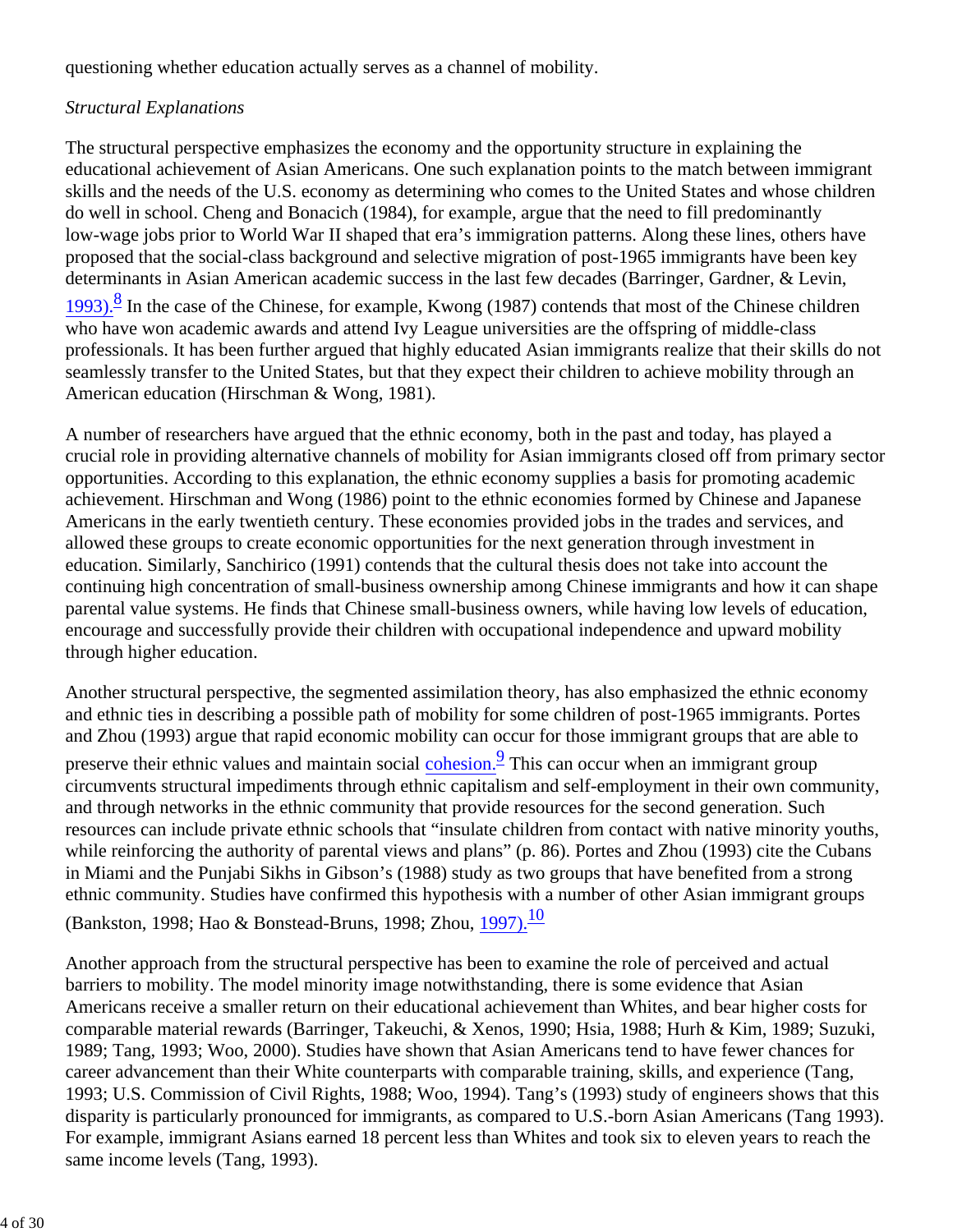questioning whether education actually serves as a channel of mobility.

# *Structural Explanations*

The structural perspective emphasizes the economy and the opportunity structure in explaining the educational achievement of Asian Americans. One such explanation points to the match between immigrant skills and the needs of the U.S. economy as determining who comes to the United States and whose children do well in school. Cheng and Bonacich (1984), for example, argue that the need to fill predominantly low-wage jobs prior to World War II shaped that era's immigration patterns. Along these lines, others have proposed that the social-class background and selective migration of post-1965 immigrants have been key determinants in Asian American academic success in the last few decades (Barringer, Gardner, & Levin,

1993).<sup>8</sup> In the case of the Chinese, for example, Kwong (1987) contends that most of the Chinese children who have won academic awards and attend Ivy League universities are the offspring of middle-class professionals. It has been further argued that highly educated Asian immigrants realize that their skills do not seamlessly transfer to the United States, but that they expect their children to achieve mobility through an American education (Hirschman & Wong, 1981).

A number of researchers have argued that the ethnic economy, both in the past and today, has played a crucial role in providing alternative channels of mobility for Asian immigrants closed off from primary sector opportunities. According to this explanation, the ethnic economy supplies a basis for promoting academic achievement. Hirschman and Wong (1986) point to the ethnic economies formed by Chinese and Japanese Americans in the early twentieth century. These economies provided jobs in the trades and services, and allowed these groups to create economic opportunities for the next generation through investment in education. Similarly, Sanchirico (1991) contends that the cultural thesis does not take into account the continuing high concentration of small-business ownership among Chinese immigrants and how it can shape parental value systems. He finds that Chinese small-business owners, while having low levels of education, encourage and successfully provide their children with occupational independence and upward mobility through higher education.

Another structural perspective, the segmented assimilation theory, has also emphasized the ethnic economy and ethnic ties in describing a possible path of mobility for some children of post-1965 immigrants. Portes and Zhou (1993) argue that rapid economic mobility can occur for those immigrant groups that are able to preserve their ethnic values and maintain social cohesion.<sup>9</sup> This can occur when an immigrant group circumvents structural impediments through ethnic capitalism and self-employment in their own community, and through networks in the ethnic community that provide resources for the second generation. Such resources can include private ethnic schools that "insulate children from contact with native minority youths, while reinforcing the authority of parental views and plans" (p. 86). Portes and Zhou (1993) cite the Cubans in Miami and the Punjabi Sikhs in Gibson's (1988) study as two groups that have benefited from a strong ethnic community. Studies have confirmed this hypothesis with a number of other Asian immigrant groups (Bankston, 1998; Hao & Bonstead-Bruns, 1998; Zhou, 1997).<sup>10</sup>

Another approach from the structural perspective has been to examine the role of perceived and actual barriers to mobility. The model minority image notwithstanding, there is some evidence that Asian Americans receive a smaller return on their educational achievement than Whites, and bear higher costs for comparable material rewards (Barringer, Takeuchi, & Xenos, 1990; Hsia, 1988; Hurh & Kim, 1989; Suzuki, 1989; Tang, 1993; Woo, 2000). Studies have shown that Asian Americans tend to have fewer chances for career advancement than their White counterparts with comparable training, skills, and experience (Tang, 1993; U.S. Commission of Civil Rights, 1988; Woo, 1994). Tang's (1993) study of engineers shows that this disparity is particularly pronounced for immigrants, as compared to U.S.-born Asian Americans (Tang 1993). For example, immigrant Asians earned 18 percent less than Whites and took six to eleven years to reach the same income levels (Tang, 1993).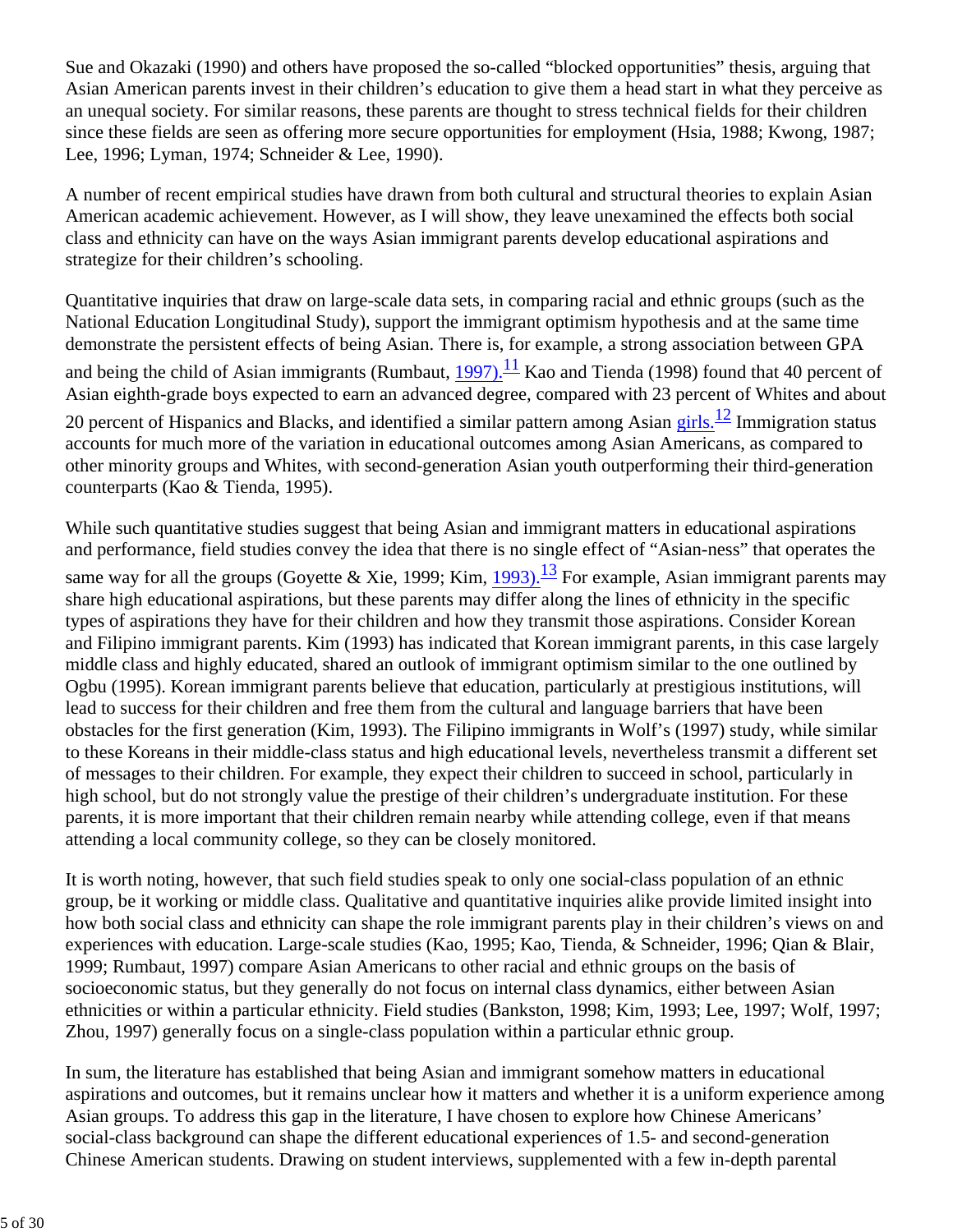Sue and Okazaki (1990) and others have proposed the so-called "blocked opportunities" thesis, arguing that Asian American parents invest in their children's education to give them a head start in what they perceive as an unequal society. For similar reasons, these parents are thought to stress technical fields for their children since these fields are seen as offering more secure opportunities for employment (Hsia, 1988; Kwong, 1987; Lee, 1996; Lyman, 1974; Schneider & Lee, 1990).

A number of recent empirical studies have drawn from both cultural and structural theories to explain Asian American academic achievement. However, as I will show, they leave unexamined the effects both social class and ethnicity can have on the ways Asian immigrant parents develop educational aspirations and strategize for their children's schooling.

Quantitative inquiries that draw on large-scale data sets, in comparing racial and ethnic groups (such as the National Education Longitudinal Study), support the immigrant optimism hypothesis and at the same time demonstrate the persistent effects of being Asian. There is, for example, a strong association between GPA and being the child of Asian immigrants (Rumbaut, 1997).<sup>11</sup> Kao and Tienda (1998) found that 40 percent of Asian eighth-grade boys expected to earn an advanced degree, compared with 23 percent of Whites and about 20 percent of Hispanics and Blacks, and identified a similar pattern among Asian girls. $\frac{12}{\pi}$  Immigration status accounts for much more of the variation in educational outcomes among Asian Americans, as compared to other minority groups and Whites, with second-generation Asian youth outperforming their third-generation counterparts (Kao & Tienda, 1995).

While such quantitative studies suggest that being Asian and immigrant matters in educational aspirations and performance, field studies convey the idea that there is no single effect of "Asian-ness" that operates the same way for all the groups (Goyette & Xie, 1999; Kim,  $1993$ ).<sup>13</sup> For example, Asian immigrant parents may share high educational aspirations, but these parents may differ along the lines of ethnicity in the specific types of aspirations they have for their children and how they transmit those aspirations. Consider Korean and Filipino immigrant parents. Kim (1993) has indicated that Korean immigrant parents, in this case largely middle class and highly educated, shared an outlook of immigrant optimism similar to the one outlined by Ogbu (1995). Korean immigrant parents believe that education, particularly at prestigious institutions, will lead to success for their children and free them from the cultural and language barriers that have been obstacles for the first generation (Kim, 1993). The Filipino immigrants in Wolf's (1997) study, while similar to these Koreans in their middle-class status and high educational levels, nevertheless transmit a different set of messages to their children. For example, they expect their children to succeed in school, particularly in high school, but do not strongly value the prestige of their children's undergraduate institution. For these parents, it is more important that their children remain nearby while attending college, even if that means attending a local community college, so they can be closely monitored.

It is worth noting, however, that such field studies speak to only one social-class population of an ethnic group, be it working or middle class. Qualitative and quantitative inquiries alike provide limited insight into how both social class and ethnicity can shape the role immigrant parents play in their children's views on and experiences with education. Large-scale studies (Kao, 1995; Kao, Tienda, & Schneider, 1996; Qian & Blair, 1999; Rumbaut, 1997) compare Asian Americans to other racial and ethnic groups on the basis of socioeconomic status, but they generally do not focus on internal class dynamics, either between Asian ethnicities or within a particular ethnicity. Field studies (Bankston, 1998; Kim, 1993; Lee, 1997; Wolf, 1997; Zhou, 1997) generally focus on a single-class population within a particular ethnic group.

In sum, the literature has established that being Asian and immigrant somehow matters in educational aspirations and outcomes, but it remains unclear how it matters and whether it is a uniform experience among Asian groups. To address this gap in the literature, I have chosen to explore how Chinese Americans' social-class background can shape the different educational experiences of 1.5- and second-generation Chinese American students. Drawing on student interviews, supplemented with a few in-depth parental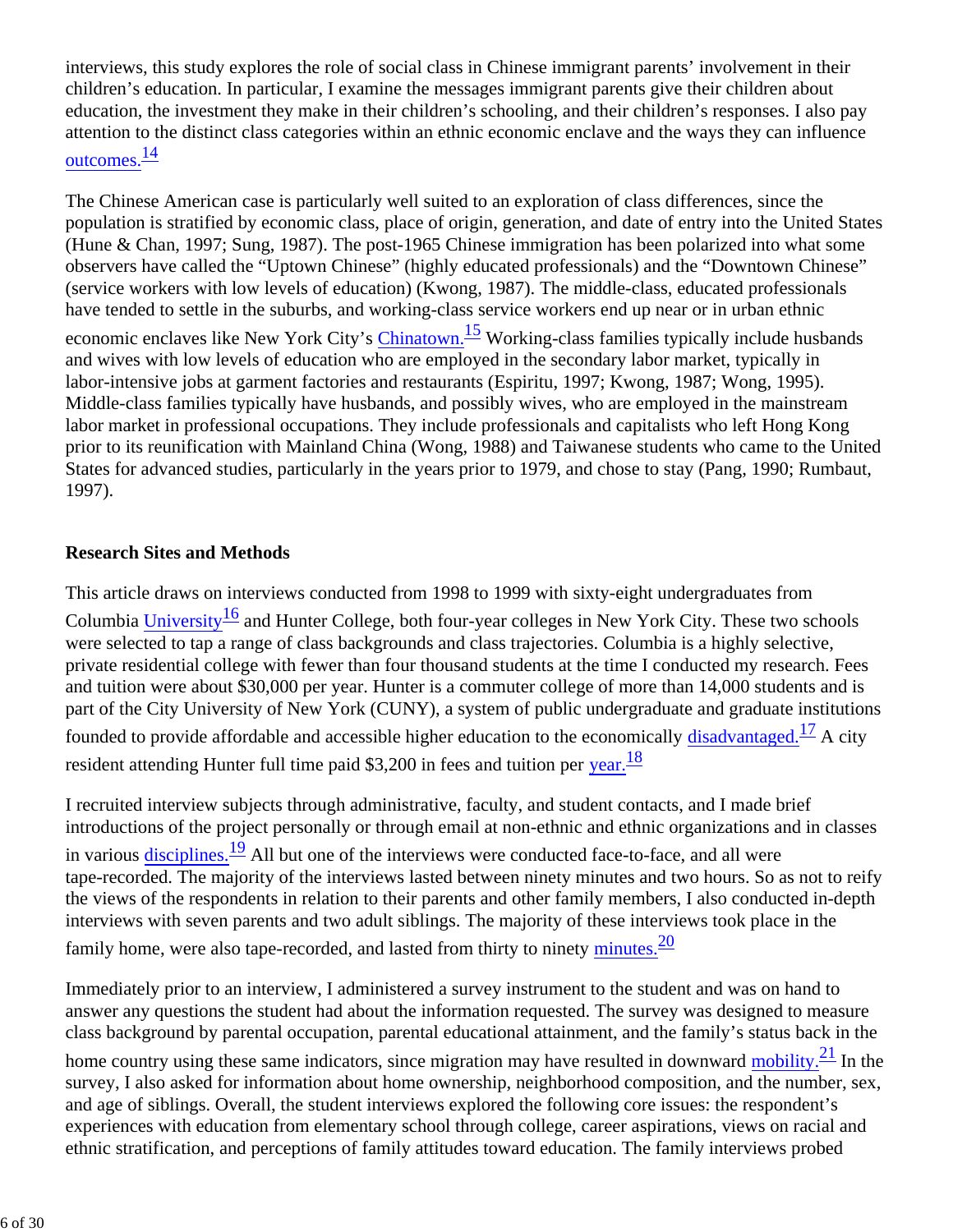interviews, this study explores the role of social class in Chinese immigrant parents' involvement in their children's education. In particular, I examine the messages immigrant parents give their children about education, the investment they make in their children's schooling, and their children's responses. I also pay attention to the distinct class categories within an ethnic economic enclave and the ways they can influence outcomes. $\frac{14}{1}$ 

The Chinese American case is particularly well suited to an exploration of class differences, since the population is stratified by economic class, place of origin, generation, and date of entry into the United States (Hune & Chan, 1997; Sung, 1987). The post-1965 Chinese immigration has been polarized into what some observers have called the "Uptown Chinese" (highly educated professionals) and the "Downtown Chinese" (service workers with low levels of education) (Kwong, 1987). The middle-class, educated professionals have tended to settle in the suburbs, and working-class service workers end up near or in urban ethnic economic enclaves like New York City's Chinatown.<sup>15</sup> Working-class families typically include husbands and wives with low levels of education who are employed in the secondary labor market, typically in labor-intensive jobs at garment factories and restaurants (Espiritu, 1997; Kwong, 1987; Wong, 1995). Middle-class families typically have husbands, and possibly wives, who are employed in the mainstream labor market in professional occupations. They include professionals and capitalists who left Hong Kong prior to its reunification with Mainland China (Wong, 1988) and Taiwanese students who came to the United States for advanced studies, particularly in the years prior to 1979, and chose to stay (Pang, 1990; Rumbaut, 1997).

### **Research Sites and Methods**

This article draws on interviews conducted from 1998 to 1999 with sixty-eight undergraduates from Columbia University $\frac{16}{2}$  and Hunter College, both four-year colleges in New York City. These two schools were selected to tap a range of class backgrounds and class trajectories. Columbia is a highly selective, private residential college with fewer than four thousand students at the time I conducted my research. Fees and tuition were about \$30,000 per year. Hunter is a commuter college of more than 14,000 students and is part of the City University of New York (CUNY), a system of public undergraduate and graduate institutions founded to provide affordable and accessible higher education to the economically disadvantaged.<sup>17</sup> A city resident attending Hunter full time paid \$3,200 in fees and tuition per year. $\frac{18}{18}$ 

I recruited interview subjects through administrative, faculty, and student contacts, and I made brief introductions of the project personally or through email at non-ethnic and ethnic organizations and in classes in various disciplines. $\frac{19}{2}$  All but one of the interviews were conducted face-to-face, and all were tape-recorded. The majority of the interviews lasted between ninety minutes and two hours. So as not to reify the views of the respondents in relation to their parents and other family members, I also conducted in-depth interviews with seven parents and two adult siblings. The majority of these interviews took place in the family home, were also tape-recorded, and lasted from thirty to ninety minutes.<sup>20</sup>

Immediately prior to an interview, I administered a survey instrument to the student and was on hand to answer any questions the student had about the information requested. The survey was designed to measure class background by parental occupation, parental educational attainment, and the family's status back in the

home country using these same indicators, since migration may have resulted in downward mobility. $\frac{21}{2}$  In the survey, I also asked for information about home ownership, neighborhood composition, and the number, sex, and age of siblings. Overall, the student interviews explored the following core issues: the respondent's experiences with education from elementary school through college, career aspirations, views on racial and ethnic stratification, and perceptions of family attitudes toward education. The family interviews probed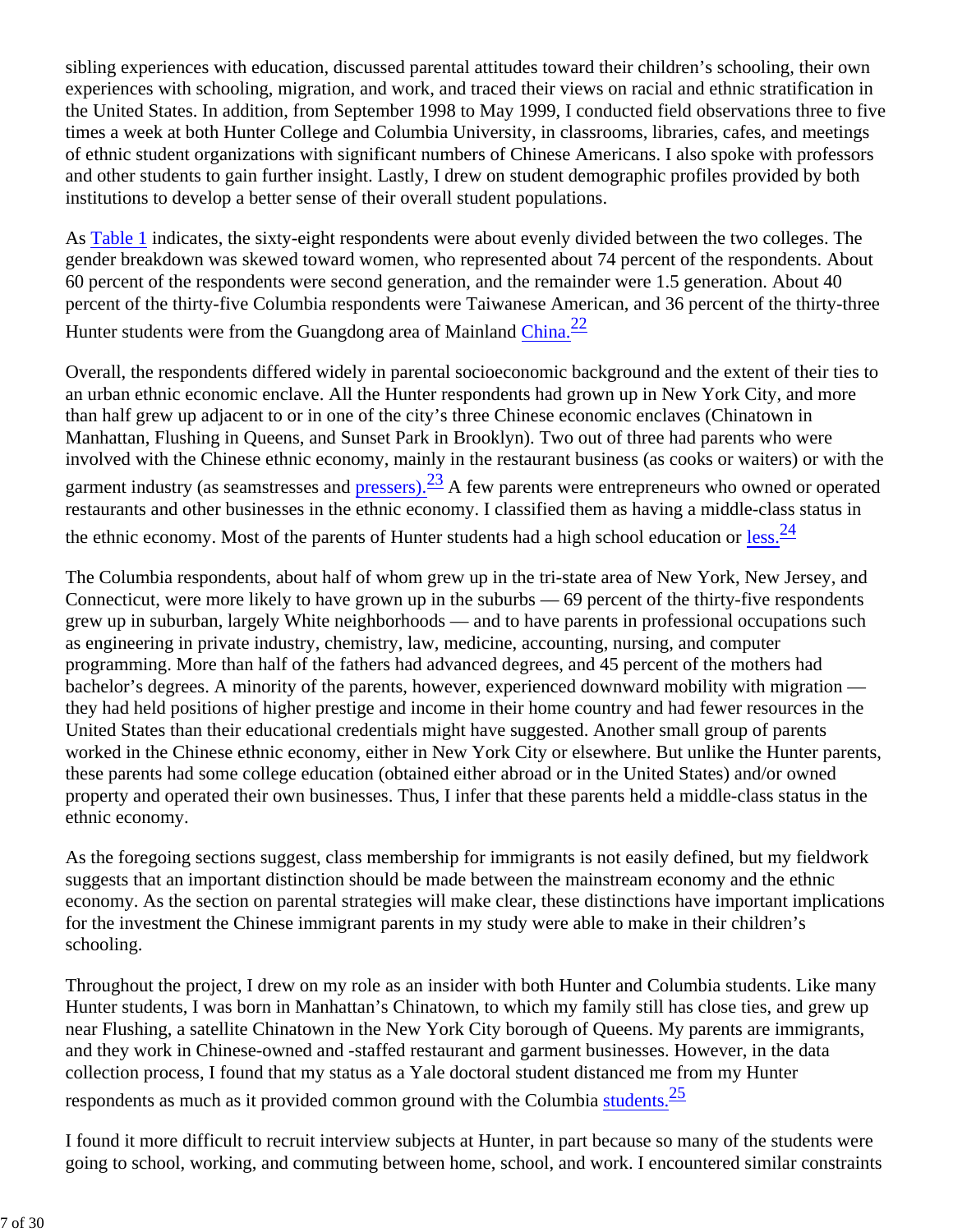sibling experiences with education, discussed parental attitudes toward their children's schooling, their own experiences with schooling, migration, and work, and traced their views on racial and ethnic stratification in the United States. In addition, from September 1998 to May 1999, I conducted field observations three to five times a week at both Hunter College and Columbia University, in classrooms, libraries, cafes, and meetings of ethnic student organizations with significant numbers of Chinese Americans. I also spoke with professors and other students to gain further insight. Lastly, I drew on student demographic profiles provided by both institutions to develop a better sense of their overall student populations.

As Table 1 indicates, the sixty-eight respondents were about evenly divided between the two colleges. The gender breakdown was skewed toward women, who represented about 74 percent of the respondents. About 60 percent of the respondents were second generation, and the remainder were 1.5 generation. About 40 percent of the thirty-five Columbia respondents were Taiwanese American, and 36 percent of the thirty-three Hunter students were from the Guangdong area of Mainland China.<sup>22</sup>

Overall, the respondents differed widely in parental socioeconomic background and the extent of their ties to an urban ethnic economic enclave. All the Hunter respondents had grown up in New York City, and more than half grew up adjacent to or in one of the city's three Chinese economic enclaves (Chinatown in Manhattan, Flushing in Queens, and Sunset Park in Brooklyn). Two out of three had parents who were involved with the Chinese ethnic economy, mainly in the restaurant business (as cooks or waiters) or with the garment industry (as seamstresses and pressers).  $\frac{23}{4}$  A few parents were entrepreneurs who owned or operated restaurants and other businesses in the ethnic economy. I classified them as having a middle-class status in the ethnic economy. Most of the parents of Hunter students had a high school education or  $less.\frac{24}{5}$ 

The Columbia respondents, about half of whom grew up in the tri-state area of New York, New Jersey, and Connecticut, were more likely to have grown up in the suburbs — 69 percent of the thirty-five respondents grew up in suburban, largely White neighborhoods — and to have parents in professional occupations such as engineering in private industry, chemistry, law, medicine, accounting, nursing, and computer programming. More than half of the fathers had advanced degrees, and 45 percent of the mothers had bachelor's degrees. A minority of the parents, however, experienced downward mobility with migration they had held positions of higher prestige and income in their home country and had fewer resources in the United States than their educational credentials might have suggested. Another small group of parents worked in the Chinese ethnic economy, either in New York City or elsewhere. But unlike the Hunter parents, these parents had some college education (obtained either abroad or in the United States) and/or owned property and operated their own businesses. Thus, I infer that these parents held a middle-class status in the ethnic economy.

As the foregoing sections suggest, class membership for immigrants is not easily defined, but my fieldwork suggests that an important distinction should be made between the mainstream economy and the ethnic economy. As the section on parental strategies will make clear, these distinctions have important implications for the investment the Chinese immigrant parents in my study were able to make in their children's schooling.

Throughout the project, I drew on my role as an insider with both Hunter and Columbia students. Like many Hunter students, I was born in Manhattan's Chinatown, to which my family still has close ties, and grew up near Flushing, a satellite Chinatown in the New York City borough of Queens. My parents are immigrants, and they work in Chinese-owned and -staffed restaurant and garment businesses. However, in the data collection process, I found that my status as a Yale doctoral student distanced me from my Hunter respondents as much as it provided common ground with the Columbia students.<sup>25</sup>

I found it more difficult to recruit interview subjects at Hunter, in part because so many of the students were going to school, working, and commuting between home, school, and work. I encountered similar constraints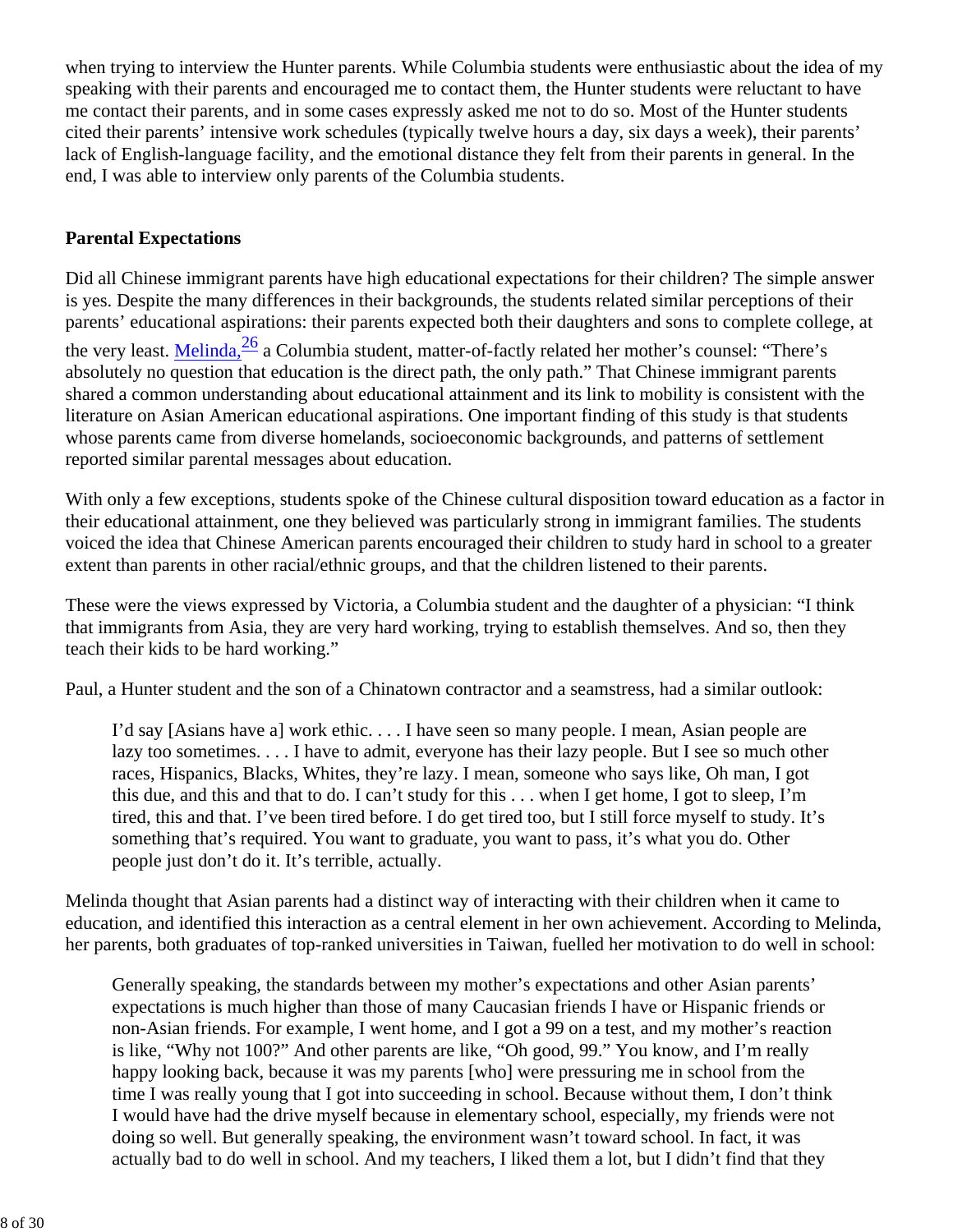when trying to interview the Hunter parents. While Columbia students were enthusiastic about the idea of my speaking with their parents and encouraged me to contact them, the Hunter students were reluctant to have me contact their parents, and in some cases expressly asked me not to do so. Most of the Hunter students cited their parents' intensive work schedules (typically twelve hours a day, six days a week), their parents' lack of English-language facility, and the emotional distance they felt from their parents in general. In the end, I was able to interview only parents of the Columbia students.

## **Parental Expectations**

Did all Chinese immigrant parents have high educational expectations for their children? The simple answer is yes. Despite the many differences in their backgrounds, the students related similar perceptions of their parents' educational aspirations: their parents expected both their daughters and sons to complete college, at the very least. Melinda, $\frac{26}{3}$  a Columbia student, matter-of-factly related her mother's counsel: "There's absolutely no question that education is the direct path, the only path." That Chinese immigrant parents shared a common understanding about educational attainment and its link to mobility is consistent with the literature on Asian American educational aspirations. One important finding of this study is that students whose parents came from diverse homelands, socioeconomic backgrounds, and patterns of settlement reported similar parental messages about education.

With only a few exceptions, students spoke of the Chinese cultural disposition toward education as a factor in their educational attainment, one they believed was particularly strong in immigrant families. The students voiced the idea that Chinese American parents encouraged their children to study hard in school to a greater extent than parents in other racial/ethnic groups, and that the children listened to their parents.

These were the views expressed by Victoria, a Columbia student and the daughter of a physician: "I think that immigrants from Asia, they are very hard working, trying to establish themselves. And so, then they teach their kids to be hard working."

Paul, a Hunter student and the son of a Chinatown contractor and a seamstress, had a similar outlook:

I'd say [Asians have a] work ethic. . . . I have seen so many people. I mean, Asian people are lazy too sometimes. . . . I have to admit, everyone has their lazy people. But I see so much other races, Hispanics, Blacks, Whites, they're lazy. I mean, someone who says like, Oh man, I got this due, and this and that to do. I can't study for this . . . when I get home, I got to sleep, I'm tired, this and that. I've been tired before. I do get tired too, but I still force myself to study. It's something that's required. You want to graduate, you want to pass, it's what you do. Other people just don't do it. It's terrible, actually.

Melinda thought that Asian parents had a distinct way of interacting with their children when it came to education, and identified this interaction as a central element in her own achievement. According to Melinda, her parents, both graduates of top-ranked universities in Taiwan, fuelled her motivation to do well in school:

Generally speaking, the standards between my mother's expectations and other Asian parents' expectations is much higher than those of many Caucasian friends I have or Hispanic friends or non-Asian friends. For example, I went home, and I got a 99 on a test, and my mother's reaction is like, "Why not 100?" And other parents are like, "Oh good, 99." You know, and I'm really happy looking back, because it was my parents [who] were pressuring me in school from the time I was really young that I got into succeeding in school. Because without them, I don't think I would have had the drive myself because in elementary school, especially, my friends were not doing so well. But generally speaking, the environment wasn't toward school. In fact, it was actually bad to do well in school. And my teachers, I liked them a lot, but I didn't find that they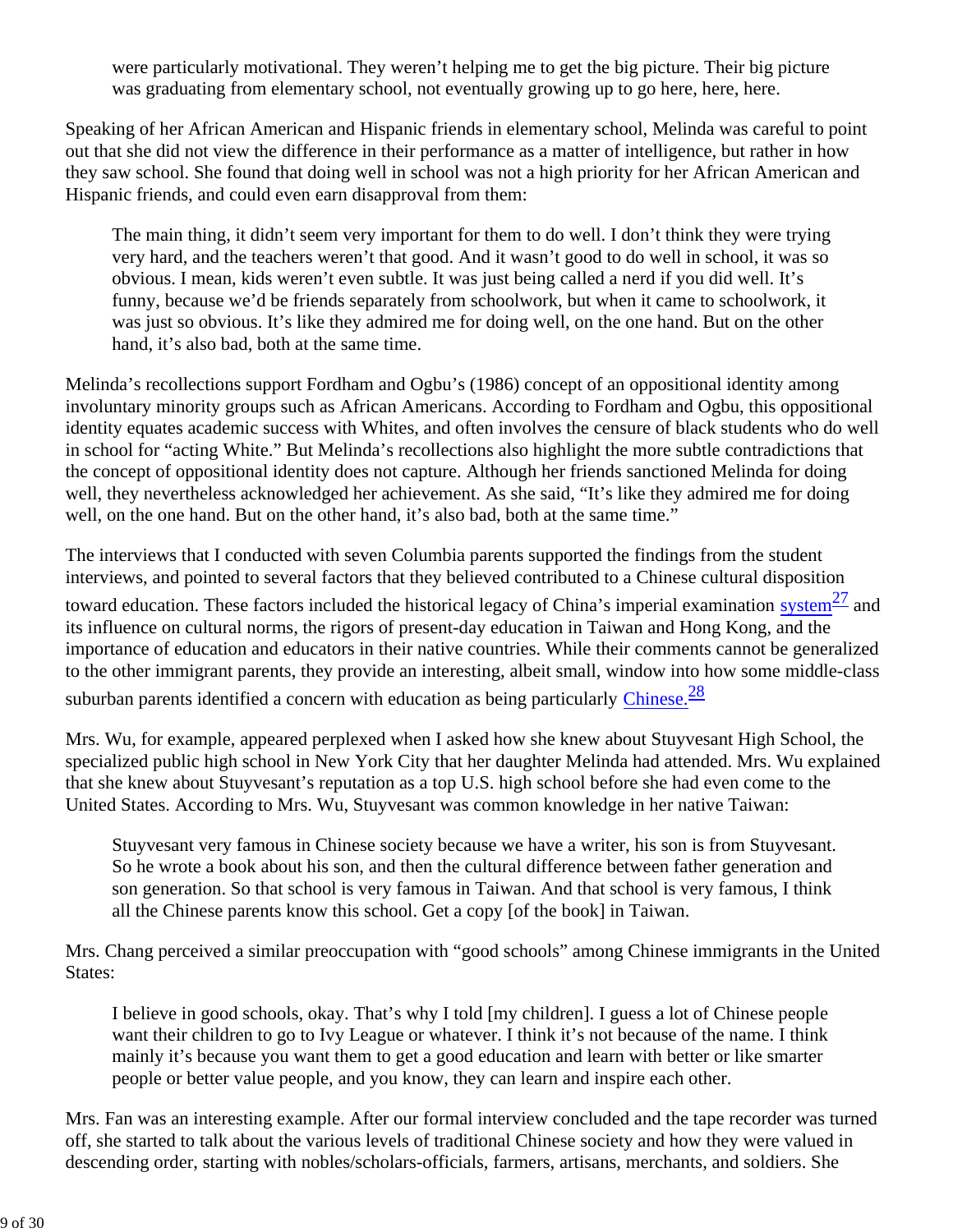were particularly motivational. They weren't helping me to get the big picture. Their big picture was graduating from elementary school, not eventually growing up to go here, here, here.

Speaking of her African American and Hispanic friends in elementary school, Melinda was careful to point out that she did not view the difference in their performance as a matter of intelligence, but rather in how they saw school. She found that doing well in school was not a high priority for her African American and Hispanic friends, and could even earn disapproval from them:

The main thing, it didn't seem very important for them to do well. I don't think they were trying very hard, and the teachers weren't that good. And it wasn't good to do well in school, it was so obvious. I mean, kids weren't even subtle. It was just being called a nerd if you did well. It's funny, because we'd be friends separately from schoolwork, but when it came to schoolwork, it was just so obvious. It's like they admired me for doing well, on the one hand. But on the other hand, it's also bad, both at the same time.

Melinda's recollections support Fordham and Ogbu's (1986) concept of an oppositional identity among involuntary minority groups such as African Americans. According to Fordham and Ogbu, this oppositional identity equates academic success with Whites, and often involves the censure of black students who do well in school for "acting White." But Melinda's recollections also highlight the more subtle contradictions that the concept of oppositional identity does not capture. Although her friends sanctioned Melinda for doing well, they nevertheless acknowledged her achievement. As she said, "It's like they admired me for doing well, on the one hand. But on the other hand, it's also bad, both at the same time."

The interviews that I conducted with seven Columbia parents supported the findings from the student interviews, and pointed to several factors that they believed contributed to a Chinese cultural disposition

toward education. These factors included the historical legacy of China's imperial examination system $\frac{27}{27}$  and its influence on cultural norms, the rigors of present-day education in Taiwan and Hong Kong, and the importance of education and educators in their native countries. While their comments cannot be generalized to the other immigrant parents, they provide an interesting, albeit small, window into how some middle-class suburban parents identified a concern with education as being particularly Chinese.<sup>28</sup>

Mrs. Wu, for example, appeared perplexed when I asked how she knew about Stuyvesant High School, the specialized public high school in New York City that her daughter Melinda had attended. Mrs. Wu explained that she knew about Stuyvesant's reputation as a top U.S. high school before she had even come to the United States. According to Mrs. Wu, Stuyvesant was common knowledge in her native Taiwan:

Stuyvesant very famous in Chinese society because we have a writer, his son is from Stuyvesant. So he wrote a book about his son, and then the cultural difference between father generation and son generation. So that school is very famous in Taiwan. And that school is very famous, I think all the Chinese parents know this school. Get a copy [of the book] in Taiwan.

Mrs. Chang perceived a similar preoccupation with "good schools" among Chinese immigrants in the United States:

I believe in good schools, okay. That's why I told [my children]. I guess a lot of Chinese people want their children to go to Ivy League or whatever. I think it's not because of the name. I think mainly it's because you want them to get a good education and learn with better or like smarter people or better value people, and you know, they can learn and inspire each other.

Mrs. Fan was an interesting example. After our formal interview concluded and the tape recorder was turned off, she started to talk about the various levels of traditional Chinese society and how they were valued in descending order, starting with nobles/scholars-officials, farmers, artisans, merchants, and soldiers. She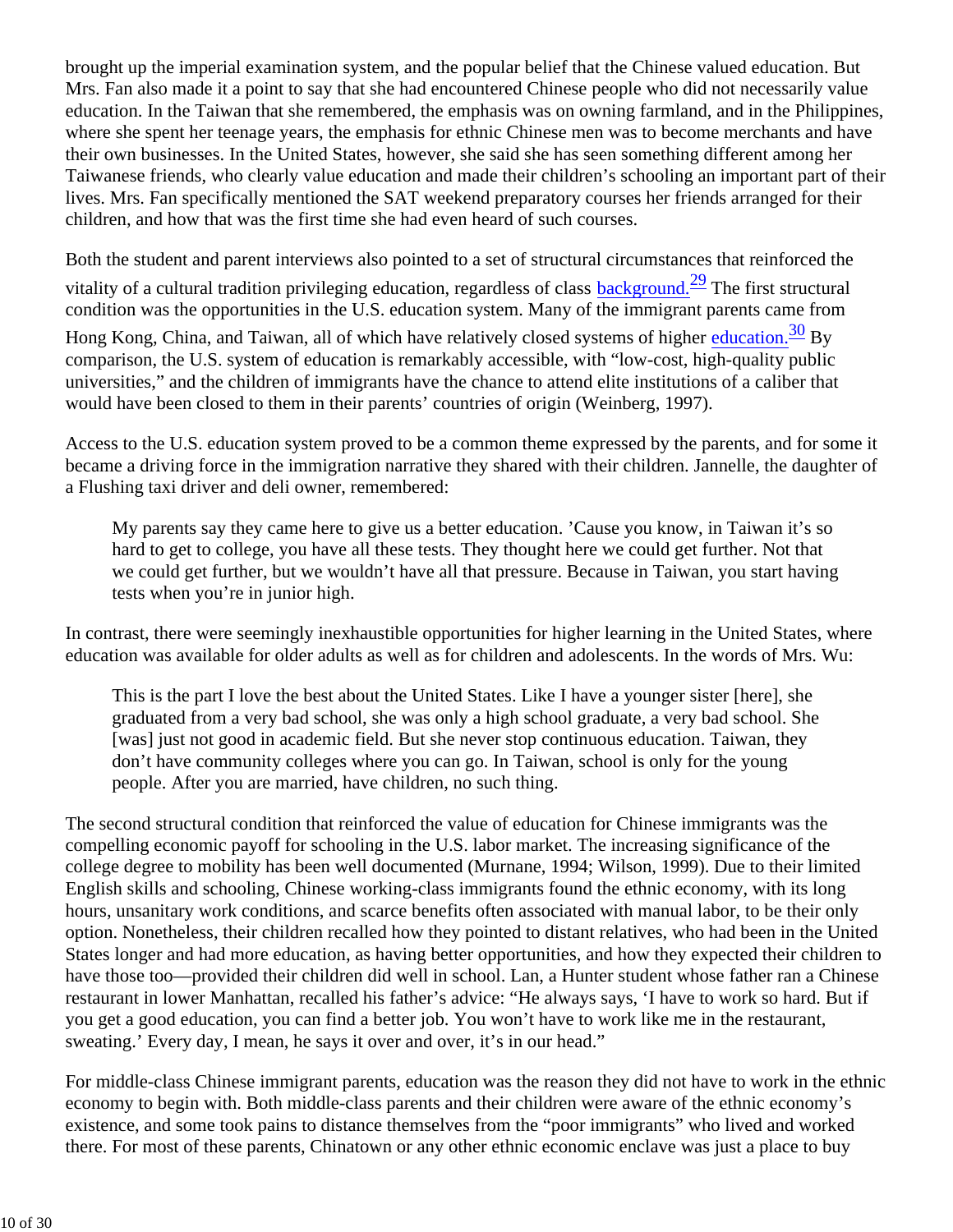brought up the imperial examination system, and the popular belief that the Chinese valued education. But Mrs. Fan also made it a point to say that she had encountered Chinese people who did not necessarily value education. In the Taiwan that she remembered, the emphasis was on owning farmland, and in the Philippines, where she spent her teenage years, the emphasis for ethnic Chinese men was to become merchants and have their own businesses. In the United States, however, she said she has seen something different among her Taiwanese friends, who clearly value education and made their children's schooling an important part of their lives. Mrs. Fan specifically mentioned the SAT weekend preparatory courses her friends arranged for their children, and how that was the first time she had even heard of such courses.

Both the student and parent interviews also pointed to a set of structural circumstances that reinforced the vitality of a cultural tradition privileging education, regardless of class background.<sup>29</sup> The first structural condition was the opportunities in the U.S. education system. Many of the immigrant parents came from

Hong Kong, China, and Taiwan, all of which have relatively closed systems of higher education.<sup>30</sup> By comparison, the U.S. system of education is remarkably accessible, with "low-cost, high-quality public universities," and the children of immigrants have the chance to attend elite institutions of a caliber that would have been closed to them in their parents' countries of origin (Weinberg, 1997).

Access to the U.S. education system proved to be a common theme expressed by the parents, and for some it became a driving force in the immigration narrative they shared with their children. Jannelle, the daughter of a Flushing taxi driver and deli owner, remembered:

My parents say they came here to give us a better education. 'Cause you know, in Taiwan it's so hard to get to college, you have all these tests. They thought here we could get further. Not that we could get further, but we wouldn't have all that pressure. Because in Taiwan, you start having tests when you're in junior high.

In contrast, there were seemingly inexhaustible opportunities for higher learning in the United States, where education was available for older adults as well as for children and adolescents. In the words of Mrs. Wu:

This is the part I love the best about the United States. Like I have a younger sister [here], she graduated from a very bad school, she was only a high school graduate, a very bad school. She [was] just not good in academic field. But she never stop continuous education. Taiwan, they don't have community colleges where you can go. In Taiwan, school is only for the young people. After you are married, have children, no such thing.

The second structural condition that reinforced the value of education for Chinese immigrants was the compelling economic payoff for schooling in the U.S. labor market. The increasing significance of the college degree to mobility has been well documented (Murnane, 1994; Wilson, 1999). Due to their limited English skills and schooling, Chinese working-class immigrants found the ethnic economy, with its long hours, unsanitary work conditions, and scarce benefits often associated with manual labor, to be their only option. Nonetheless, their children recalled how they pointed to distant relatives, who had been in the United States longer and had more education, as having better opportunities, and how they expected their children to have those too—provided their children did well in school. Lan, a Hunter student whose father ran a Chinese restaurant in lower Manhattan, recalled his father's advice: "He always says, 'I have to work so hard. But if you get a good education, you can find a better job. You won't have to work like me in the restaurant, sweating.' Every day, I mean, he says it over and over, it's in our head."

For middle-class Chinese immigrant parents, education was the reason they did not have to work in the ethnic economy to begin with. Both middle-class parents and their children were aware of the ethnic economy's existence, and some took pains to distance themselves from the "poor immigrants" who lived and worked there. For most of these parents, Chinatown or any other ethnic economic enclave was just a place to buy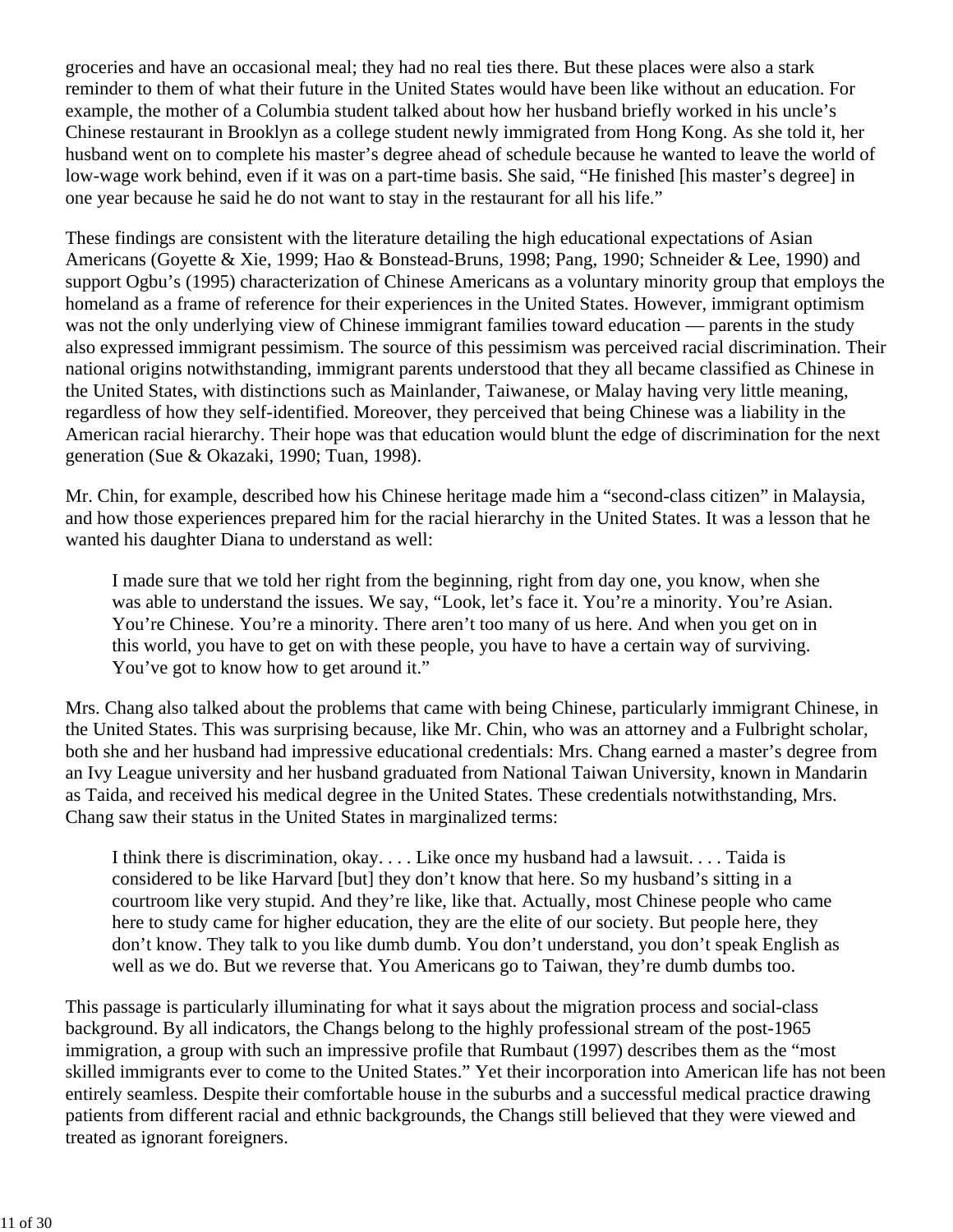groceries and have an occasional meal; they had no real ties there. But these places were also a stark reminder to them of what their future in the United States would have been like without an education. For example, the mother of a Columbia student talked about how her husband briefly worked in his uncle's Chinese restaurant in Brooklyn as a college student newly immigrated from Hong Kong. As she told it, her husband went on to complete his master's degree ahead of schedule because he wanted to leave the world of low-wage work behind, even if it was on a part-time basis. She said, "He finished [his master's degree] in one year because he said he do not want to stay in the restaurant for all his life."

These findings are consistent with the literature detailing the high educational expectations of Asian Americans (Goyette & Xie, 1999; Hao & Bonstead-Bruns, 1998; Pang, 1990; Schneider & Lee, 1990) and support Ogbu's (1995) characterization of Chinese Americans as a voluntary minority group that employs the homeland as a frame of reference for their experiences in the United States. However, immigrant optimism was not the only underlying view of Chinese immigrant families toward education — parents in the study also expressed immigrant pessimism. The source of this pessimism was perceived racial discrimination. Their national origins notwithstanding, immigrant parents understood that they all became classified as Chinese in the United States, with distinctions such as Mainlander, Taiwanese, or Malay having very little meaning, regardless of how they self-identified. Moreover, they perceived that being Chinese was a liability in the American racial hierarchy. Their hope was that education would blunt the edge of discrimination for the next generation (Sue & Okazaki, 1990; Tuan, 1998).

Mr. Chin, for example, described how his Chinese heritage made him a "second-class citizen" in Malaysia, and how those experiences prepared him for the racial hierarchy in the United States. It was a lesson that he wanted his daughter Diana to understand as well:

I made sure that we told her right from the beginning, right from day one, you know, when she was able to understand the issues. We say, "Look, let's face it. You're a minority. You're Asian. You're Chinese. You're a minority. There aren't too many of us here. And when you get on in this world, you have to get on with these people, you have to have a certain way of surviving. You've got to know how to get around it."

Mrs. Chang also talked about the problems that came with being Chinese, particularly immigrant Chinese, in the United States. This was surprising because, like Mr. Chin, who was an attorney and a Fulbright scholar, both she and her husband had impressive educational credentials: Mrs. Chang earned a master's degree from an Ivy League university and her husband graduated from National Taiwan University, known in Mandarin as Taida, and received his medical degree in the United States. These credentials notwithstanding, Mrs. Chang saw their status in the United States in marginalized terms:

I think there is discrimination, okay. . . . Like once my husband had a lawsuit. . . . Taida is considered to be like Harvard [but] they don't know that here. So my husband's sitting in a courtroom like very stupid. And they're like, like that. Actually, most Chinese people who came here to study came for higher education, they are the elite of our society. But people here, they don't know. They talk to you like dumb dumb. You don't understand, you don't speak English as well as we do. But we reverse that. You Americans go to Taiwan, they're dumb dumbs too.

This passage is particularly illuminating for what it says about the migration process and social-class background. By all indicators, the Changs belong to the highly professional stream of the post-1965 immigration, a group with such an impressive profile that Rumbaut (1997) describes them as the "most skilled immigrants ever to come to the United States." Yet their incorporation into American life has not been entirely seamless. Despite their comfortable house in the suburbs and a successful medical practice drawing patients from different racial and ethnic backgrounds, the Changs still believed that they were viewed and treated as ignorant foreigners.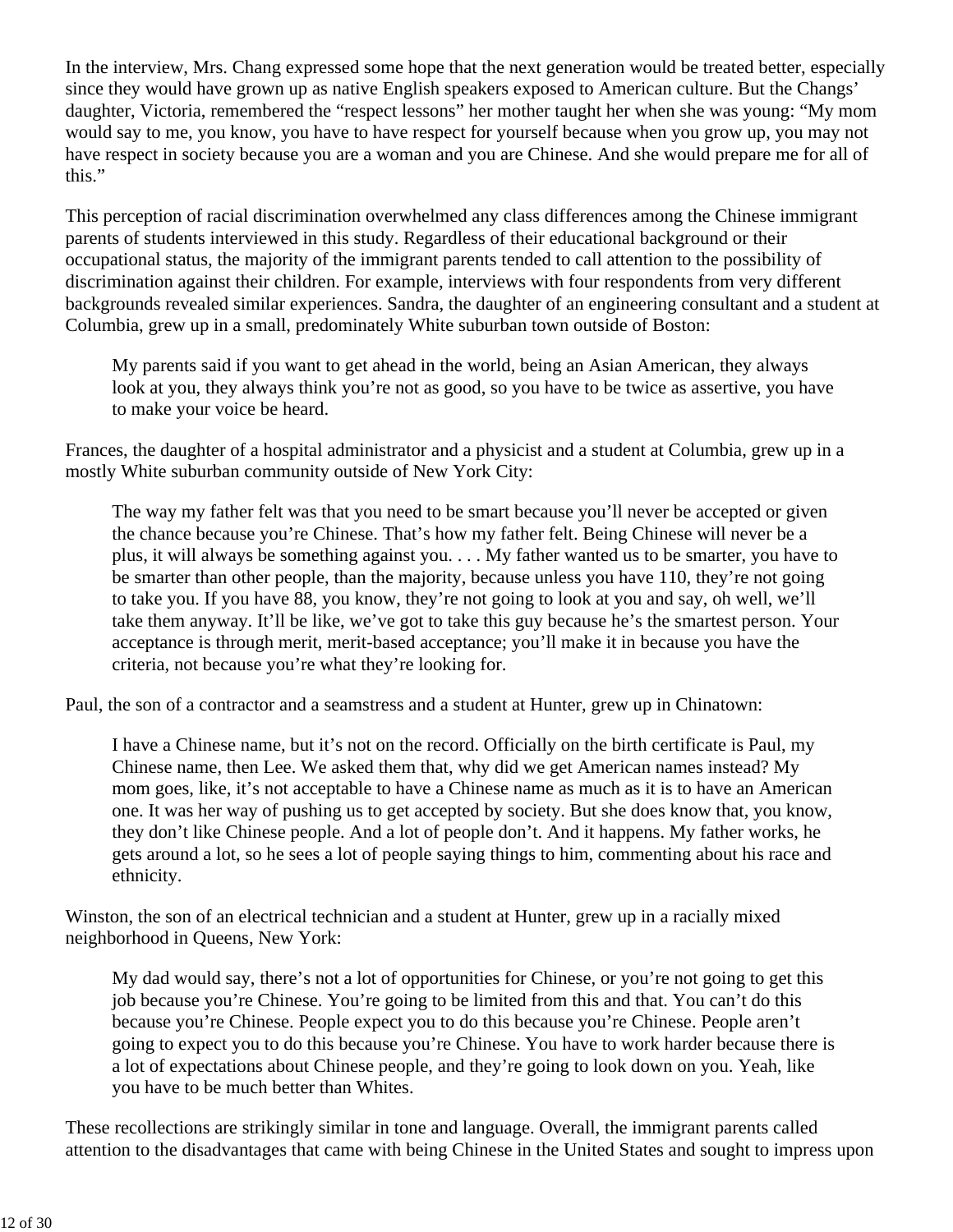In the interview, Mrs. Chang expressed some hope that the next generation would be treated better, especially since they would have grown up as native English speakers exposed to American culture. But the Changs' daughter, Victoria, remembered the "respect lessons" her mother taught her when she was young: "My mom would say to me, you know, you have to have respect for yourself because when you grow up, you may not have respect in society because you are a woman and you are Chinese. And she would prepare me for all of this."

This perception of racial discrimination overwhelmed any class differences among the Chinese immigrant parents of students interviewed in this study. Regardless of their educational background or their occupational status, the majority of the immigrant parents tended to call attention to the possibility of discrimination against their children. For example, interviews with four respondents from very different backgrounds revealed similar experiences. Sandra, the daughter of an engineering consultant and a student at Columbia, grew up in a small, predominately White suburban town outside of Boston:

My parents said if you want to get ahead in the world, being an Asian American, they always look at you, they always think you're not as good, so you have to be twice as assertive, you have to make your voice be heard.

Frances, the daughter of a hospital administrator and a physicist and a student at Columbia, grew up in a mostly White suburban community outside of New York City:

The way my father felt was that you need to be smart because you'll never be accepted or given the chance because you're Chinese. That's how my father felt. Being Chinese will never be a plus, it will always be something against you. . . . My father wanted us to be smarter, you have to be smarter than other people, than the majority, because unless you have 110, they're not going to take you. If you have 88, you know, they're not going to look at you and say, oh well, we'll take them anyway. It'll be like, we've got to take this guy because he's the smartest person. Your acceptance is through merit, merit-based acceptance; you'll make it in because you have the criteria, not because you're what they're looking for.

Paul, the son of a contractor and a seamstress and a student at Hunter, grew up in Chinatown:

I have a Chinese name, but it's not on the record. Officially on the birth certificate is Paul, my Chinese name, then Lee. We asked them that, why did we get American names instead? My mom goes, like, it's not acceptable to have a Chinese name as much as it is to have an American one. It was her way of pushing us to get accepted by society. But she does know that, you know, they don't like Chinese people. And a lot of people don't. And it happens. My father works, he gets around a lot, so he sees a lot of people saying things to him, commenting about his race and ethnicity.

Winston, the son of an electrical technician and a student at Hunter, grew up in a racially mixed neighborhood in Queens, New York:

My dad would say, there's not a lot of opportunities for Chinese, or you're not going to get this job because you're Chinese. You're going to be limited from this and that. You can't do this because you're Chinese. People expect you to do this because you're Chinese. People aren't going to expect you to do this because you're Chinese. You have to work harder because there is a lot of expectations about Chinese people, and they're going to look down on you. Yeah, like you have to be much better than Whites.

These recollections are strikingly similar in tone and language. Overall, the immigrant parents called attention to the disadvantages that came with being Chinese in the United States and sought to impress upon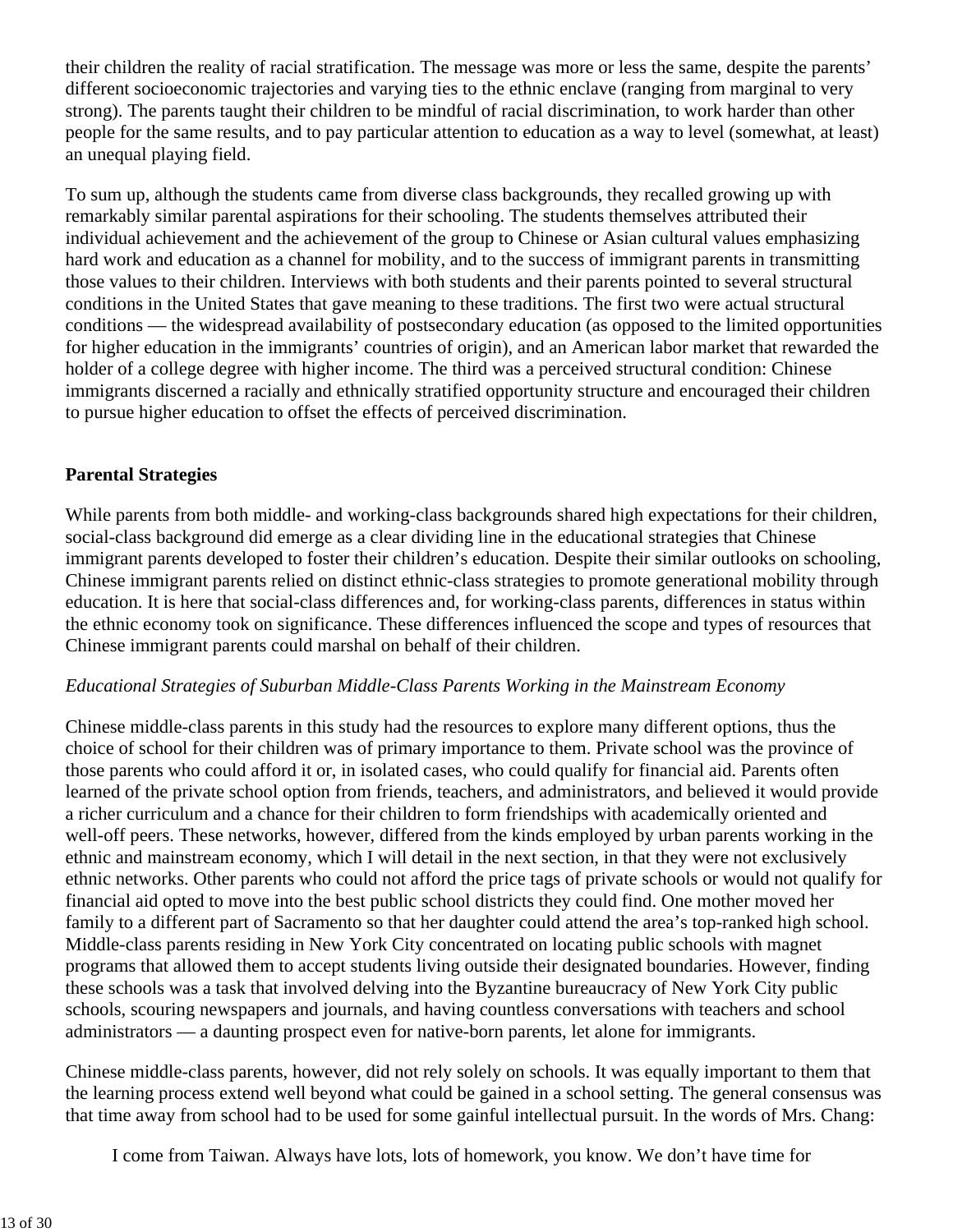their children the reality of racial stratification. The message was more or less the same, despite the parents' different socioeconomic trajectories and varying ties to the ethnic enclave (ranging from marginal to very strong). The parents taught their children to be mindful of racial discrimination, to work harder than other people for the same results, and to pay particular attention to education as a way to level (somewhat, at least) an unequal playing field.

To sum up, although the students came from diverse class backgrounds, they recalled growing up with remarkably similar parental aspirations for their schooling. The students themselves attributed their individual achievement and the achievement of the group to Chinese or Asian cultural values emphasizing hard work and education as a channel for mobility, and to the success of immigrant parents in transmitting those values to their children. Interviews with both students and their parents pointed to several structural conditions in the United States that gave meaning to these traditions. The first two were actual structural conditions — the widespread availability of postsecondary education (as opposed to the limited opportunities for higher education in the immigrants' countries of origin), and an American labor market that rewarded the holder of a college degree with higher income. The third was a perceived structural condition: Chinese immigrants discerned a racially and ethnically stratified opportunity structure and encouraged their children to pursue higher education to offset the effects of perceived discrimination.

### **Parental Strategies**

While parents from both middle- and working-class backgrounds shared high expectations for their children, social-class background did emerge as a clear dividing line in the educational strategies that Chinese immigrant parents developed to foster their children's education. Despite their similar outlooks on schooling, Chinese immigrant parents relied on distinct ethnic-class strategies to promote generational mobility through education. It is here that social-class differences and, for working-class parents, differences in status within the ethnic economy took on significance. These differences influenced the scope and types of resources that Chinese immigrant parents could marshal on behalf of their children.

#### *Educational Strategies of Suburban Middle-Class Parents Working in the Mainstream Economy*

Chinese middle-class parents in this study had the resources to explore many different options, thus the choice of school for their children was of primary importance to them. Private school was the province of those parents who could afford it or, in isolated cases, who could qualify for financial aid. Parents often learned of the private school option from friends, teachers, and administrators, and believed it would provide a richer curriculum and a chance for their children to form friendships with academically oriented and well-off peers. These networks, however, differed from the kinds employed by urban parents working in the ethnic and mainstream economy, which I will detail in the next section, in that they were not exclusively ethnic networks. Other parents who could not afford the price tags of private schools or would not qualify for financial aid opted to move into the best public school districts they could find. One mother moved her family to a different part of Sacramento so that her daughter could attend the area's top-ranked high school. Middle-class parents residing in New York City concentrated on locating public schools with magnet programs that allowed them to accept students living outside their designated boundaries. However, finding these schools was a task that involved delving into the Byzantine bureaucracy of New York City public schools, scouring newspapers and journals, and having countless conversations with teachers and school administrators — a daunting prospect even for native-born parents, let alone for immigrants.

Chinese middle-class parents, however, did not rely solely on schools. It was equally important to them that the learning process extend well beyond what could be gained in a school setting. The general consensus was that time away from school had to be used for some gainful intellectual pursuit. In the words of Mrs. Chang:

I come from Taiwan. Always have lots, lots of homework, you know. We don't have time for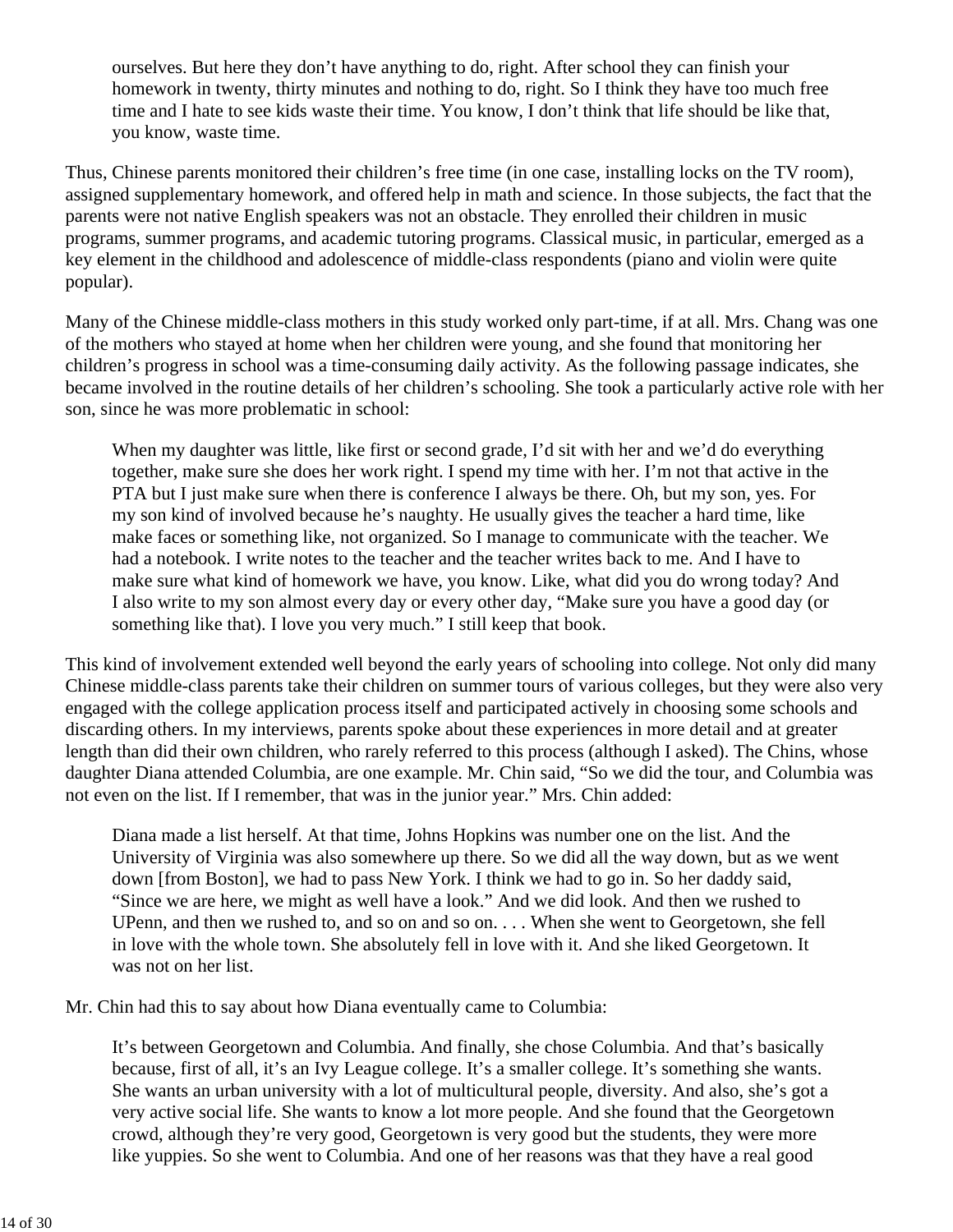ourselves. But here they don't have anything to do, right. After school they can finish your homework in twenty, thirty minutes and nothing to do, right. So I think they have too much free time and I hate to see kids waste their time. You know, I don't think that life should be like that, you know, waste time.

Thus, Chinese parents monitored their children's free time (in one case, installing locks on the TV room), assigned supplementary homework, and offered help in math and science. In those subjects, the fact that the parents were not native English speakers was not an obstacle. They enrolled their children in music programs, summer programs, and academic tutoring programs. Classical music, in particular, emerged as a key element in the childhood and adolescence of middle-class respondents (piano and violin were quite popular).

Many of the Chinese middle-class mothers in this study worked only part-time, if at all. Mrs. Chang was one of the mothers who stayed at home when her children were young, and she found that monitoring her children's progress in school was a time-consuming daily activity. As the following passage indicates, she became involved in the routine details of her children's schooling. She took a particularly active role with her son, since he was more problematic in school:

When my daughter was little, like first or second grade, I'd sit with her and we'd do everything together, make sure she does her work right. I spend my time with her. I'm not that active in the PTA but I just make sure when there is conference I always be there. Oh, but my son, yes. For my son kind of involved because he's naughty. He usually gives the teacher a hard time, like make faces or something like, not organized. So I manage to communicate with the teacher. We had a notebook. I write notes to the teacher and the teacher writes back to me. And I have to make sure what kind of homework we have, you know. Like, what did you do wrong today? And I also write to my son almost every day or every other day, "Make sure you have a good day (or something like that). I love you very much." I still keep that book.

This kind of involvement extended well beyond the early years of schooling into college. Not only did many Chinese middle-class parents take their children on summer tours of various colleges, but they were also very engaged with the college application process itself and participated actively in choosing some schools and discarding others. In my interviews, parents spoke about these experiences in more detail and at greater length than did their own children, who rarely referred to this process (although I asked). The Chins, whose daughter Diana attended Columbia, are one example. Mr. Chin said, "So we did the tour, and Columbia was not even on the list. If I remember, that was in the junior year." Mrs. Chin added:

Diana made a list herself. At that time, Johns Hopkins was number one on the list. And the University of Virginia was also somewhere up there. So we did all the way down, but as we went down [from Boston], we had to pass New York. I think we had to go in. So her daddy said, "Since we are here, we might as well have a look." And we did look. And then we rushed to UPenn, and then we rushed to, and so on and so on. . . . When she went to Georgetown, she fell in love with the whole town. She absolutely fell in love with it. And she liked Georgetown. It was not on her list.

Mr. Chin had this to say about how Diana eventually came to Columbia:

It's between Georgetown and Columbia. And finally, she chose Columbia. And that's basically because, first of all, it's an Ivy League college. It's a smaller college. It's something she wants. She wants an urban university with a lot of multicultural people, diversity. And also, she's got a very active social life. She wants to know a lot more people. And she found that the Georgetown crowd, although they're very good, Georgetown is very good but the students, they were more like yuppies. So she went to Columbia. And one of her reasons was that they have a real good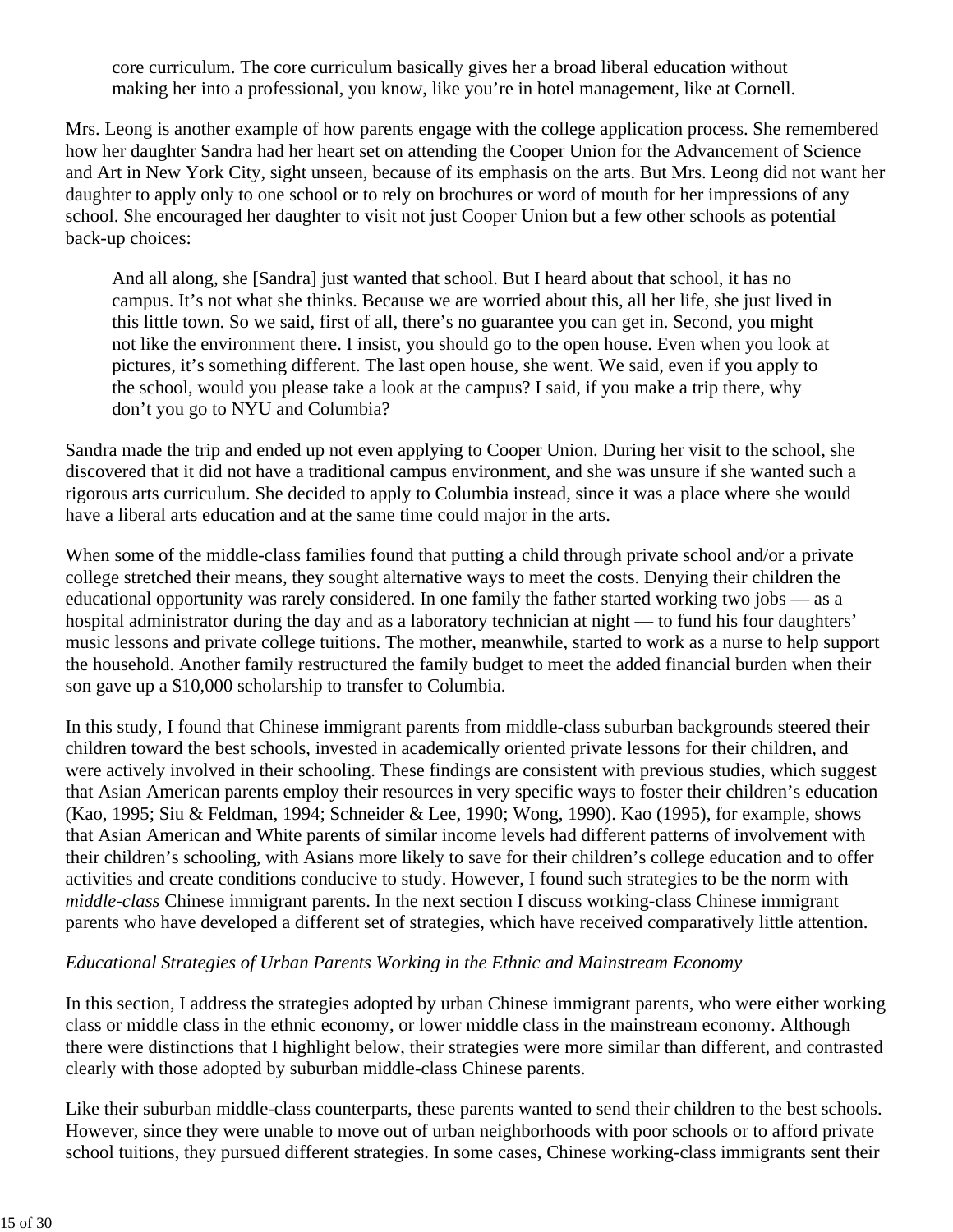core curriculum. The core curriculum basically gives her a broad liberal education without making her into a professional, you know, like you're in hotel management, like at Cornell.

Mrs. Leong is another example of how parents engage with the college application process. She remembered how her daughter Sandra had her heart set on attending the Cooper Union for the Advancement of Science and Art in New York City, sight unseen, because of its emphasis on the arts. But Mrs. Leong did not want her daughter to apply only to one school or to rely on brochures or word of mouth for her impressions of any school. She encouraged her daughter to visit not just Cooper Union but a few other schools as potential back-up choices:

And all along, she [Sandra] just wanted that school. But I heard about that school, it has no campus. It's not what she thinks. Because we are worried about this, all her life, she just lived in this little town. So we said, first of all, there's no guarantee you can get in. Second, you might not like the environment there. I insist, you should go to the open house. Even when you look at pictures, it's something different. The last open house, she went. We said, even if you apply to the school, would you please take a look at the campus? I said, if you make a trip there, why don't you go to NYU and Columbia?

Sandra made the trip and ended up not even applying to Cooper Union. During her visit to the school, she discovered that it did not have a traditional campus environment, and she was unsure if she wanted such a rigorous arts curriculum. She decided to apply to Columbia instead, since it was a place where she would have a liberal arts education and at the same time could major in the arts.

When some of the middle-class families found that putting a child through private school and/or a private college stretched their means, they sought alternative ways to meet the costs. Denying their children the educational opportunity was rarely considered. In one family the father started working two jobs — as a hospital administrator during the day and as a laboratory technician at night — to fund his four daughters' music lessons and private college tuitions. The mother, meanwhile, started to work as a nurse to help support the household. Another family restructured the family budget to meet the added financial burden when their son gave up a \$10,000 scholarship to transfer to Columbia.

In this study, I found that Chinese immigrant parents from middle-class suburban backgrounds steered their children toward the best schools, invested in academically oriented private lessons for their children, and were actively involved in their schooling. These findings are consistent with previous studies, which suggest that Asian American parents employ their resources in very specific ways to foster their children's education (Kao, 1995; Siu & Feldman, 1994; Schneider & Lee, 1990; Wong, 1990). Kao (1995), for example, shows that Asian American and White parents of similar income levels had different patterns of involvement with their children's schooling, with Asians more likely to save for their children's college education and to offer activities and create conditions conducive to study. However, I found such strategies to be the norm with *middle-class* Chinese immigrant parents. In the next section I discuss working-class Chinese immigrant parents who have developed a different set of strategies, which have received comparatively little attention.

### *Educational Strategies of Urban Parents Working in the Ethnic and Mainstream Economy*

In this section, I address the strategies adopted by urban Chinese immigrant parents, who were either working class or middle class in the ethnic economy, or lower middle class in the mainstream economy. Although there were distinctions that I highlight below, their strategies were more similar than different, and contrasted clearly with those adopted by suburban middle-class Chinese parents.

Like their suburban middle-class counterparts, these parents wanted to send their children to the best schools. However, since they were unable to move out of urban neighborhoods with poor schools or to afford private school tuitions, they pursued different strategies. In some cases, Chinese working-class immigrants sent their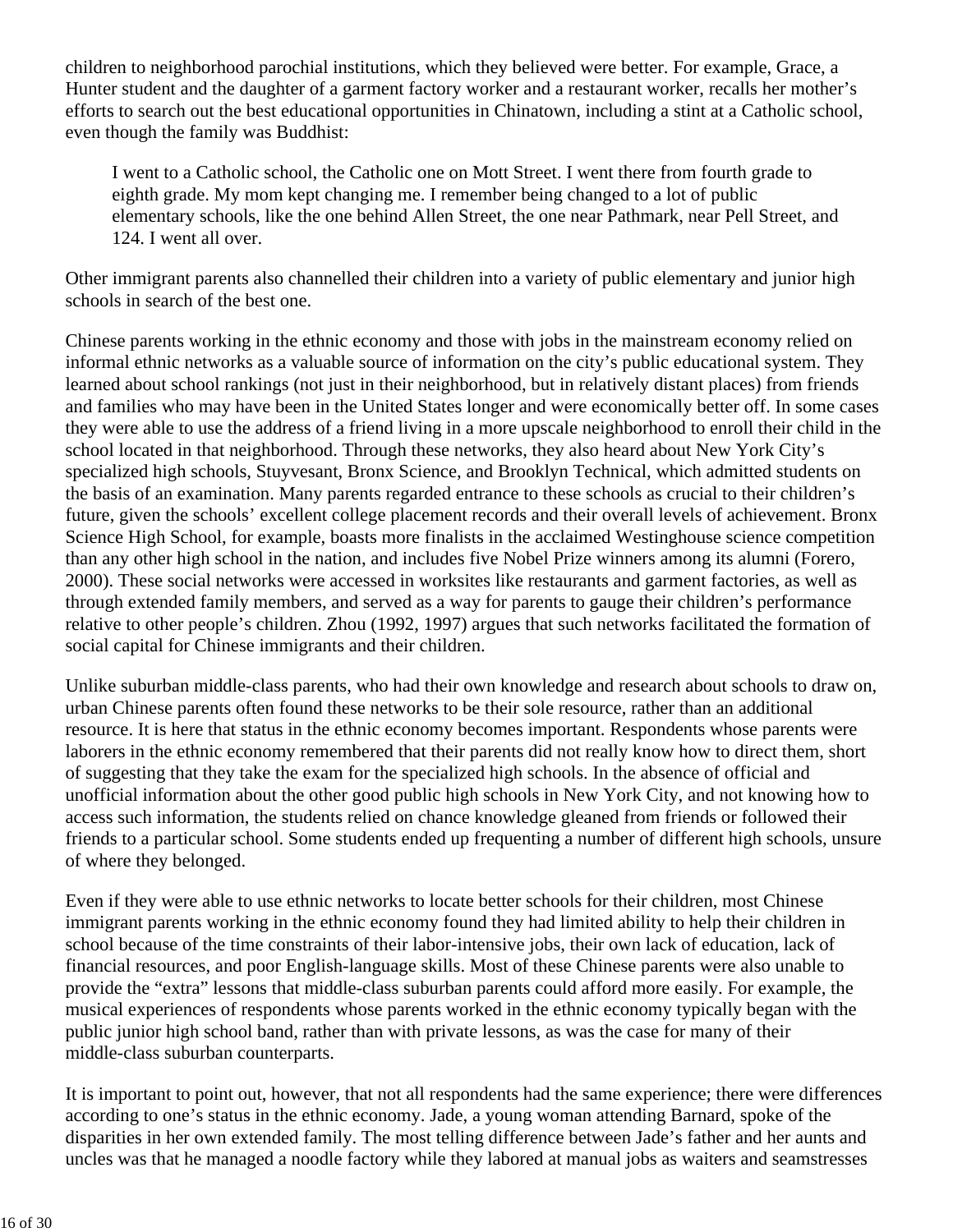children to neighborhood parochial institutions, which they believed were better. For example, Grace, a Hunter student and the daughter of a garment factory worker and a restaurant worker, recalls her mother's efforts to search out the best educational opportunities in Chinatown, including a stint at a Catholic school, even though the family was Buddhist:

I went to a Catholic school, the Catholic one on Mott Street. I went there from fourth grade to eighth grade. My mom kept changing me. I remember being changed to a lot of public elementary schools, like the one behind Allen Street, the one near Pathmark, near Pell Street, and 124. I went all over.

Other immigrant parents also channelled their children into a variety of public elementary and junior high schools in search of the best one.

Chinese parents working in the ethnic economy and those with jobs in the mainstream economy relied on informal ethnic networks as a valuable source of information on the city's public educational system. They learned about school rankings (not just in their neighborhood, but in relatively distant places) from friends and families who may have been in the United States longer and were economically better off. In some cases they were able to use the address of a friend living in a more upscale neighborhood to enroll their child in the school located in that neighborhood. Through these networks, they also heard about New York City's specialized high schools, Stuyvesant, Bronx Science, and Brooklyn Technical, which admitted students on the basis of an examination. Many parents regarded entrance to these schools as crucial to their children's future, given the schools' excellent college placement records and their overall levels of achievement. Bronx Science High School, for example, boasts more finalists in the acclaimed Westinghouse science competition than any other high school in the nation, and includes five Nobel Prize winners among its alumni (Forero, 2000). These social networks were accessed in worksites like restaurants and garment factories, as well as through extended family members, and served as a way for parents to gauge their children's performance relative to other people's children. Zhou (1992, 1997) argues that such networks facilitated the formation of social capital for Chinese immigrants and their children.

Unlike suburban middle-class parents, who had their own knowledge and research about schools to draw on, urban Chinese parents often found these networks to be their sole resource, rather than an additional resource. It is here that status in the ethnic economy becomes important. Respondents whose parents were laborers in the ethnic economy remembered that their parents did not really know how to direct them, short of suggesting that they take the exam for the specialized high schools. In the absence of official and unofficial information about the other good public high schools in New York City, and not knowing how to access such information, the students relied on chance knowledge gleaned from friends or followed their friends to a particular school. Some students ended up frequenting a number of different high schools, unsure of where they belonged.

Even if they were able to use ethnic networks to locate better schools for their children, most Chinese immigrant parents working in the ethnic economy found they had limited ability to help their children in school because of the time constraints of their labor-intensive jobs, their own lack of education, lack of financial resources, and poor English-language skills. Most of these Chinese parents were also unable to provide the "extra" lessons that middle-class suburban parents could afford more easily. For example, the musical experiences of respondents whose parents worked in the ethnic economy typically began with the public junior high school band, rather than with private lessons, as was the case for many of their middle-class suburban counterparts.

It is important to point out, however, that not all respondents had the same experience; there were differences according to one's status in the ethnic economy. Jade, a young woman attending Barnard, spoke of the disparities in her own extended family. The most telling difference between Jade's father and her aunts and uncles was that he managed a noodle factory while they labored at manual jobs as waiters and seamstresses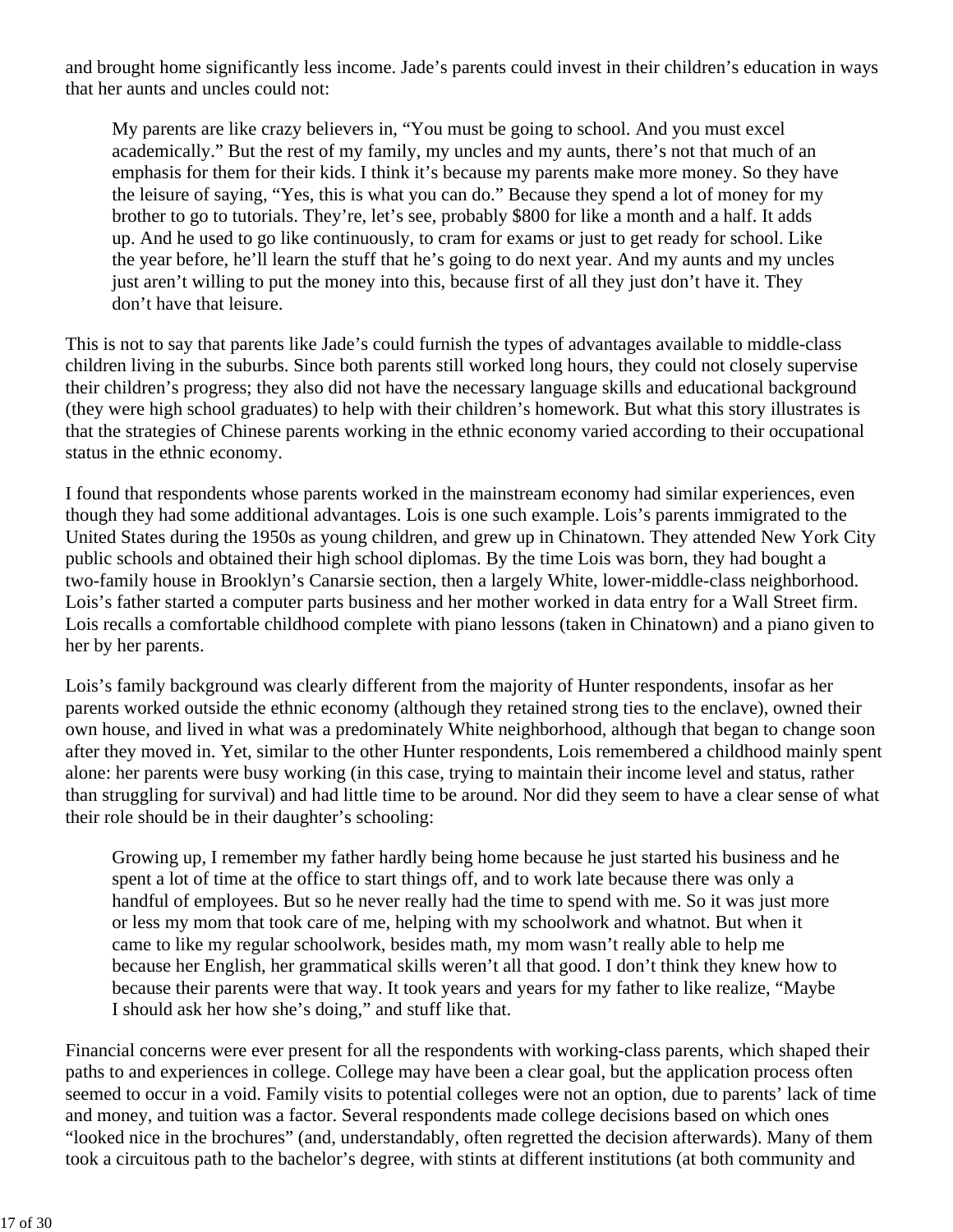and brought home significantly less income. Jade's parents could invest in their children's education in ways that her aunts and uncles could not:

My parents are like crazy believers in, "You must be going to school. And you must excel academically." But the rest of my family, my uncles and my aunts, there's not that much of an emphasis for them for their kids. I think it's because my parents make more money. So they have the leisure of saying, "Yes, this is what you can do." Because they spend a lot of money for my brother to go to tutorials. They're, let's see, probably \$800 for like a month and a half. It adds up. And he used to go like continuously, to cram for exams or just to get ready for school. Like the year before, he'll learn the stuff that he's going to do next year. And my aunts and my uncles just aren't willing to put the money into this, because first of all they just don't have it. They don't have that leisure.

This is not to say that parents like Jade's could furnish the types of advantages available to middle-class children living in the suburbs. Since both parents still worked long hours, they could not closely supervise their children's progress; they also did not have the necessary language skills and educational background (they were high school graduates) to help with their children's homework. But what this story illustrates is that the strategies of Chinese parents working in the ethnic economy varied according to their occupational status in the ethnic economy.

I found that respondents whose parents worked in the mainstream economy had similar experiences, even though they had some additional advantages. Lois is one such example. Lois's parents immigrated to the United States during the 1950s as young children, and grew up in Chinatown. They attended New York City public schools and obtained their high school diplomas. By the time Lois was born, they had bought a two-family house in Brooklyn's Canarsie section, then a largely White, lower-middle-class neighborhood. Lois's father started a computer parts business and her mother worked in data entry for a Wall Street firm. Lois recalls a comfortable childhood complete with piano lessons (taken in Chinatown) and a piano given to her by her parents.

Lois's family background was clearly different from the majority of Hunter respondents, insofar as her parents worked outside the ethnic economy (although they retained strong ties to the enclave), owned their own house, and lived in what was a predominately White neighborhood, although that began to change soon after they moved in. Yet, similar to the other Hunter respondents, Lois remembered a childhood mainly spent alone: her parents were busy working (in this case, trying to maintain their income level and status, rather than struggling for survival) and had little time to be around. Nor did they seem to have a clear sense of what their role should be in their daughter's schooling:

Growing up, I remember my father hardly being home because he just started his business and he spent a lot of time at the office to start things off, and to work late because there was only a handful of employees. But so he never really had the time to spend with me. So it was just more or less my mom that took care of me, helping with my schoolwork and whatnot. But when it came to like my regular schoolwork, besides math, my mom wasn't really able to help me because her English, her grammatical skills weren't all that good. I don't think they knew how to because their parents were that way. It took years and years for my father to like realize, "Maybe I should ask her how she's doing," and stuff like that.

Financial concerns were ever present for all the respondents with working-class parents, which shaped their paths to and experiences in college. College may have been a clear goal, but the application process often seemed to occur in a void. Family visits to potential colleges were not an option, due to parents' lack of time and money, and tuition was a factor. Several respondents made college decisions based on which ones "looked nice in the brochures" (and, understandably, often regretted the decision afterwards). Many of them took a circuitous path to the bachelor's degree, with stints at different institutions (at both community and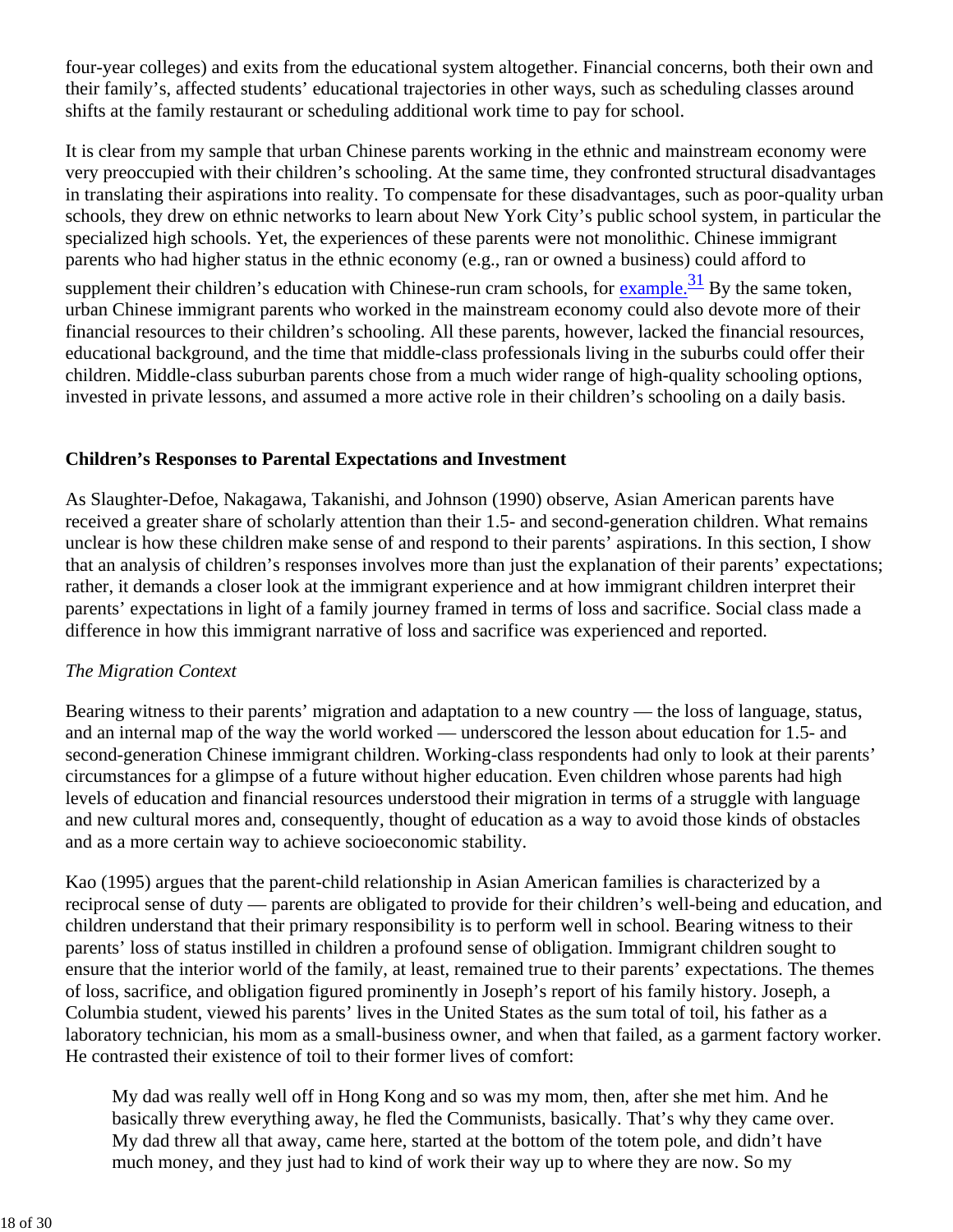four-year colleges) and exits from the educational system altogether. Financial concerns, both their own and their family's, affected students' educational trajectories in other ways, such as scheduling classes around shifts at the family restaurant or scheduling additional work time to pay for school.

It is clear from my sample that urban Chinese parents working in the ethnic and mainstream economy were very preoccupied with their children's schooling. At the same time, they confronted structural disadvantages in translating their aspirations into reality. To compensate for these disadvantages, such as poor-quality urban schools, they drew on ethnic networks to learn about New York City's public school system, in particular the specialized high schools. Yet, the experiences of these parents were not monolithic. Chinese immigrant parents who had higher status in the ethnic economy (e.g., ran or owned a business) could afford to

supplement their children's education with Chinese-run cram schools, for  $\alpha$  example.<sup>31</sup> By the same token, urban Chinese immigrant parents who worked in the mainstream economy could also devote more of their financial resources to their children's schooling. All these parents, however, lacked the financial resources, educational background, and the time that middle-class professionals living in the suburbs could offer their children. Middle-class suburban parents chose from a much wider range of high-quality schooling options, invested in private lessons, and assumed a more active role in their children's schooling on a daily basis.

### **Children's Responses to Parental Expectations and Investment**

As Slaughter-Defoe, Nakagawa, Takanishi, and Johnson (1990) observe, Asian American parents have received a greater share of scholarly attention than their 1.5- and second-generation children. What remains unclear is how these children make sense of and respond to their parents' aspirations. In this section, I show that an analysis of children's responses involves more than just the explanation of their parents' expectations; rather, it demands a closer look at the immigrant experience and at how immigrant children interpret their parents' expectations in light of a family journey framed in terms of loss and sacrifice. Social class made a difference in how this immigrant narrative of loss and sacrifice was experienced and reported.

### *The Migration Context*

Bearing witness to their parents' migration and adaptation to a new country — the loss of language, status, and an internal map of the way the world worked — underscored the lesson about education for 1.5- and second-generation Chinese immigrant children. Working-class respondents had only to look at their parents' circumstances for a glimpse of a future without higher education. Even children whose parents had high levels of education and financial resources understood their migration in terms of a struggle with language and new cultural mores and, consequently, thought of education as a way to avoid those kinds of obstacles and as a more certain way to achieve socioeconomic stability.

Kao (1995) argues that the parent-child relationship in Asian American families is characterized by a reciprocal sense of duty — parents are obligated to provide for their children's well-being and education, and children understand that their primary responsibility is to perform well in school. Bearing witness to their parents' loss of status instilled in children a profound sense of obligation. Immigrant children sought to ensure that the interior world of the family, at least, remained true to their parents' expectations. The themes of loss, sacrifice, and obligation figured prominently in Joseph's report of his family history. Joseph, a Columbia student, viewed his parents' lives in the United States as the sum total of toil, his father as a laboratory technician, his mom as a small-business owner, and when that failed, as a garment factory worker. He contrasted their existence of toil to their former lives of comfort:

My dad was really well off in Hong Kong and so was my mom, then, after she met him. And he basically threw everything away, he fled the Communists, basically. That's why they came over. My dad threw all that away, came here, started at the bottom of the totem pole, and didn't have much money, and they just had to kind of work their way up to where they are now. So my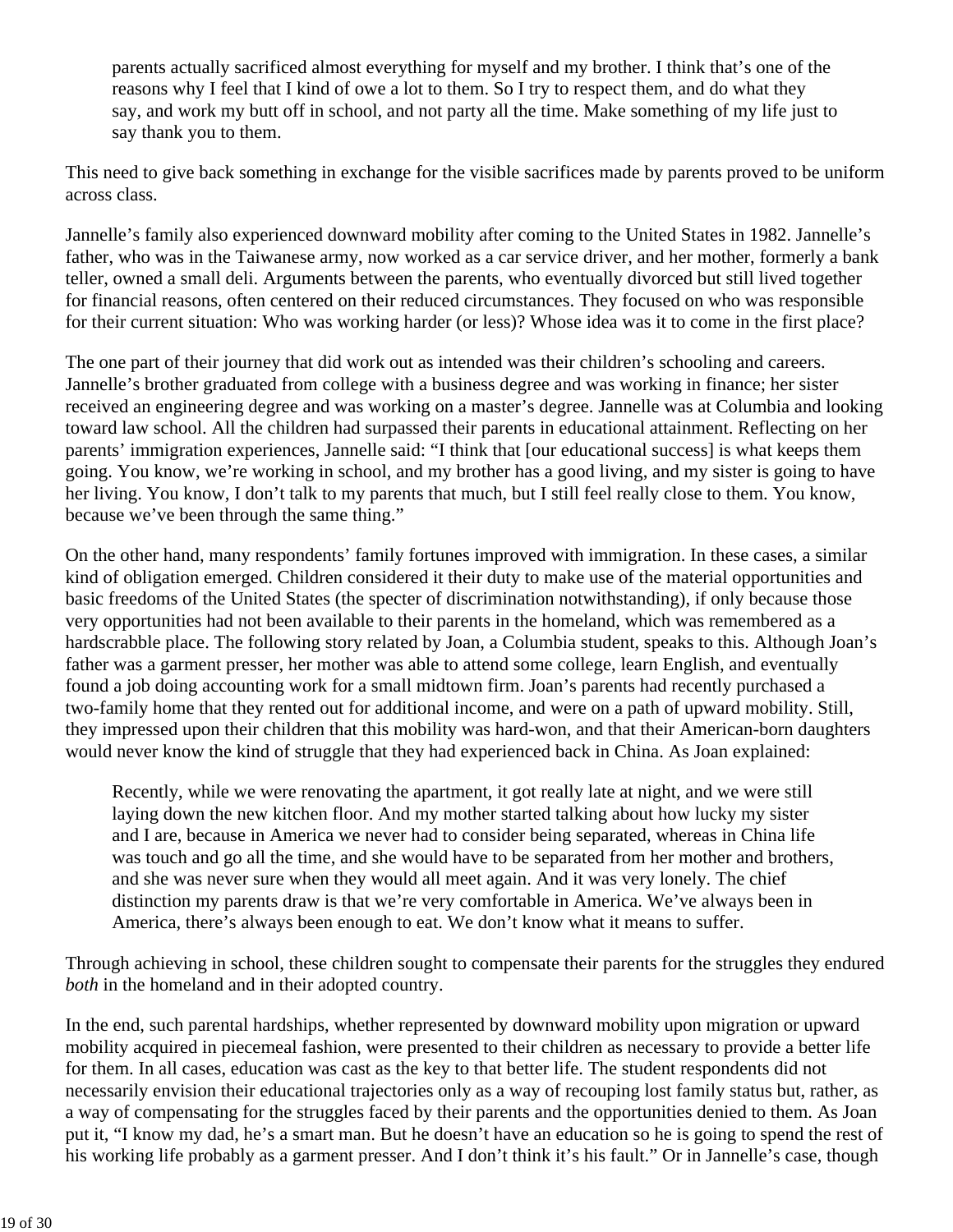parents actually sacrificed almost everything for myself and my brother. I think that's one of the reasons why I feel that I kind of owe a lot to them. So I try to respect them, and do what they say, and work my butt off in school, and not party all the time. Make something of my life just to say thank you to them.

This need to give back something in exchange for the visible sacrifices made by parents proved to be uniform across class.

Jannelle's family also experienced downward mobility after coming to the United States in 1982. Jannelle's father, who was in the Taiwanese army, now worked as a car service driver, and her mother, formerly a bank teller, owned a small deli. Arguments between the parents, who eventually divorced but still lived together for financial reasons, often centered on their reduced circumstances. They focused on who was responsible for their current situation: Who was working harder (or less)? Whose idea was it to come in the first place?

The one part of their journey that did work out as intended was their children's schooling and careers. Jannelle's brother graduated from college with a business degree and was working in finance; her sister received an engineering degree and was working on a master's degree. Jannelle was at Columbia and looking toward law school. All the children had surpassed their parents in educational attainment. Reflecting on her parents' immigration experiences, Jannelle said: "I think that [our educational success] is what keeps them going. You know, we're working in school, and my brother has a good living, and my sister is going to have her living. You know, I don't talk to my parents that much, but I still feel really close to them. You know, because we've been through the same thing."

On the other hand, many respondents' family fortunes improved with immigration. In these cases, a similar kind of obligation emerged. Children considered it their duty to make use of the material opportunities and basic freedoms of the United States (the specter of discrimination notwithstanding), if only because those very opportunities had not been available to their parents in the homeland, which was remembered as a hardscrabble place. The following story related by Joan, a Columbia student, speaks to this. Although Joan's father was a garment presser, her mother was able to attend some college, learn English, and eventually found a job doing accounting work for a small midtown firm. Joan's parents had recently purchased a two-family home that they rented out for additional income, and were on a path of upward mobility. Still, they impressed upon their children that this mobility was hard-won, and that their American-born daughters would never know the kind of struggle that they had experienced back in China. As Joan explained:

Recently, while we were renovating the apartment, it got really late at night, and we were still laying down the new kitchen floor. And my mother started talking about how lucky my sister and I are, because in America we never had to consider being separated, whereas in China life was touch and go all the time, and she would have to be separated from her mother and brothers, and she was never sure when they would all meet again. And it was very lonely. The chief distinction my parents draw is that we're very comfortable in America. We've always been in America, there's always been enough to eat. We don't know what it means to suffer.

Through achieving in school, these children sought to compensate their parents for the struggles they endured *both* in the homeland and in their adopted country.

In the end, such parental hardships, whether represented by downward mobility upon migration or upward mobility acquired in piecemeal fashion, were presented to their children as necessary to provide a better life for them. In all cases, education was cast as the key to that better life. The student respondents did not necessarily envision their educational trajectories only as a way of recouping lost family status but, rather, as a way of compensating for the struggles faced by their parents and the opportunities denied to them. As Joan put it, "I know my dad, he's a smart man. But he doesn't have an education so he is going to spend the rest of his working life probably as a garment presser. And I don't think it's his fault." Or in Jannelle's case, though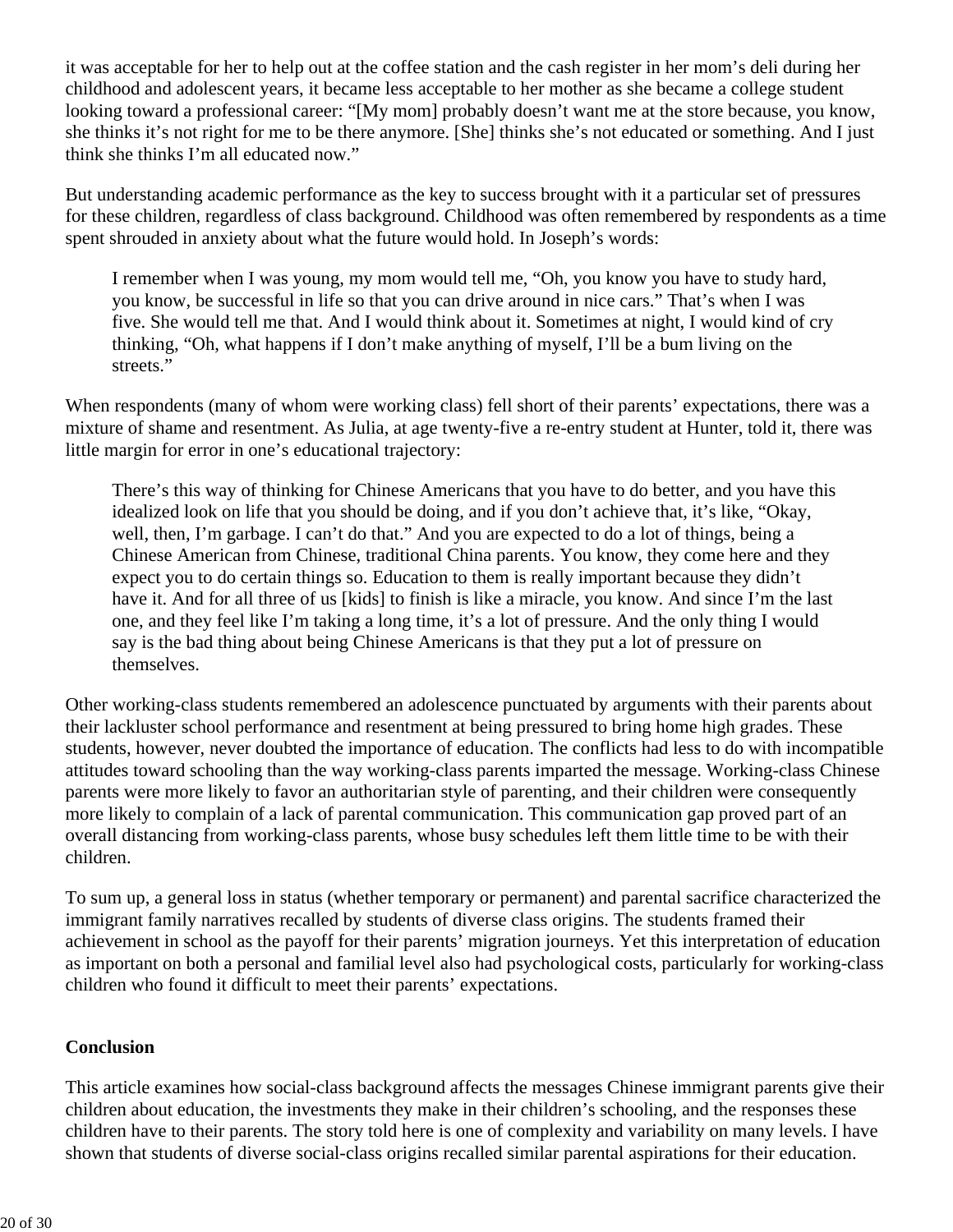it was acceptable for her to help out at the coffee station and the cash register in her mom's deli during her childhood and adolescent years, it became less acceptable to her mother as she became a college student looking toward a professional career: "[My mom] probably doesn't want me at the store because, you know, she thinks it's not right for me to be there anymore. [She] thinks she's not educated or something. And I just think she thinks I'm all educated now."

But understanding academic performance as the key to success brought with it a particular set of pressures for these children, regardless of class background. Childhood was often remembered by respondents as a time spent shrouded in anxiety about what the future would hold. In Joseph's words:

I remember when I was young, my mom would tell me, "Oh, you know you have to study hard, you know, be successful in life so that you can drive around in nice cars." That's when I was five. She would tell me that. And I would think about it. Sometimes at night, I would kind of cry thinking, "Oh, what happens if I don't make anything of myself, I'll be a bum living on the streets."

When respondents (many of whom were working class) fell short of their parents' expectations, there was a mixture of shame and resentment. As Julia, at age twenty-five a re-entry student at Hunter, told it, there was little margin for error in one's educational trajectory:

There's this way of thinking for Chinese Americans that you have to do better, and you have this idealized look on life that you should be doing, and if you don't achieve that, it's like, "Okay, well, then, I'm garbage. I can't do that." And you are expected to do a lot of things, being a Chinese American from Chinese, traditional China parents. You know, they come here and they expect you to do certain things so. Education to them is really important because they didn't have it. And for all three of us [kids] to finish is like a miracle, you know. And since I'm the last one, and they feel like I'm taking a long time, it's a lot of pressure. And the only thing I would say is the bad thing about being Chinese Americans is that they put a lot of pressure on themselves.

Other working-class students remembered an adolescence punctuated by arguments with their parents about their lackluster school performance and resentment at being pressured to bring home high grades. These students, however, never doubted the importance of education. The conflicts had less to do with incompatible attitudes toward schooling than the way working-class parents imparted the message. Working-class Chinese parents were more likely to favor an authoritarian style of parenting, and their children were consequently more likely to complain of a lack of parental communication. This communication gap proved part of an overall distancing from working-class parents, whose busy schedules left them little time to be with their children.

To sum up, a general loss in status (whether temporary or permanent) and parental sacrifice characterized the immigrant family narratives recalled by students of diverse class origins. The students framed their achievement in school as the payoff for their parents' migration journeys. Yet this interpretation of education as important on both a personal and familial level also had psychological costs, particularly for working-class children who found it difficult to meet their parents' expectations.

### **Conclusion**

This article examines how social-class background affects the messages Chinese immigrant parents give their children about education, the investments they make in their children's schooling, and the responses these children have to their parents. The story told here is one of complexity and variability on many levels. I have shown that students of diverse social-class origins recalled similar parental aspirations for their education.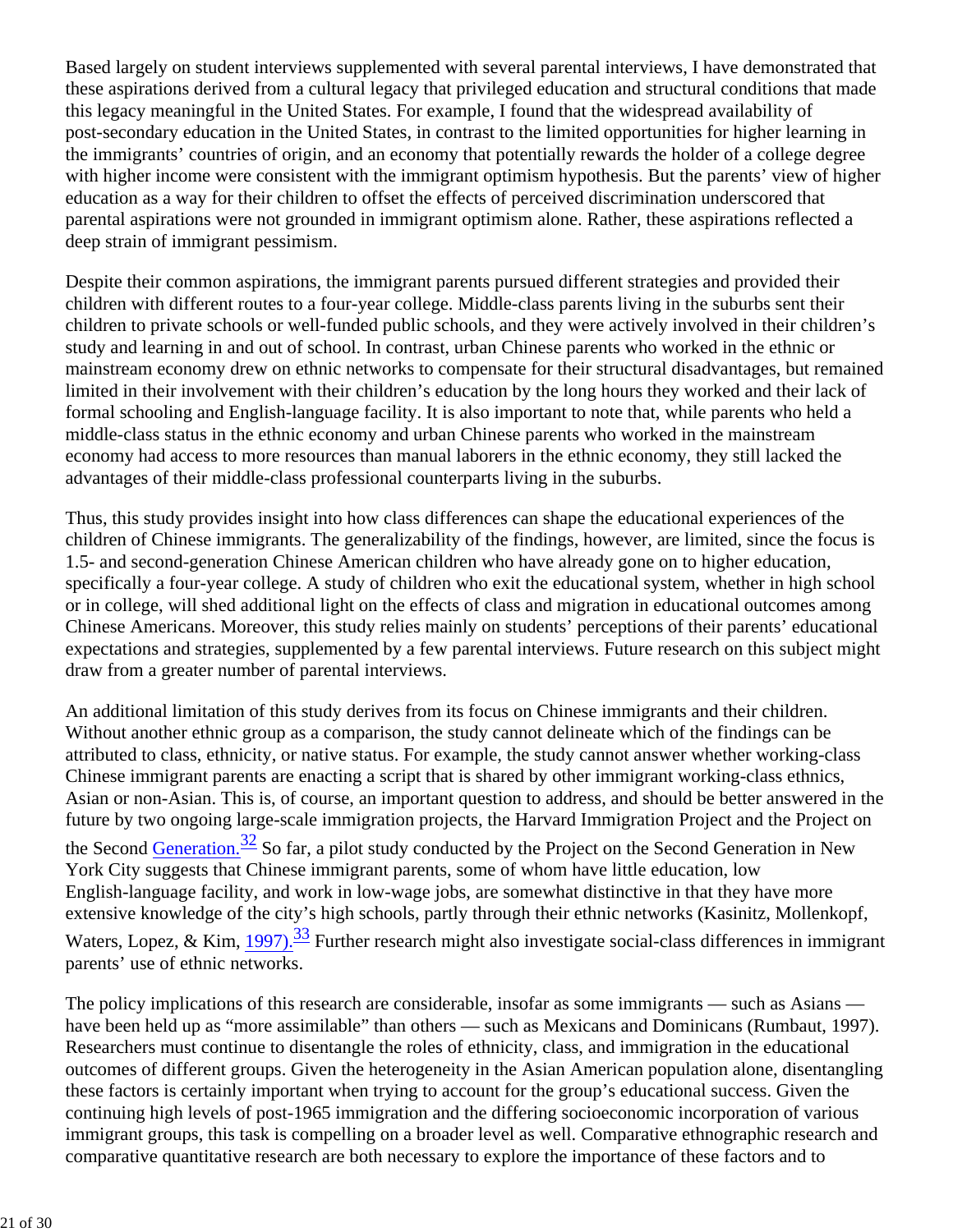Based largely on student interviews supplemented with several parental interviews, I have demonstrated that these aspirations derived from a cultural legacy that privileged education and structural conditions that made this legacy meaningful in the United States. For example, I found that the widespread availability of post-secondary education in the United States, in contrast to the limited opportunities for higher learning in the immigrants' countries of origin, and an economy that potentially rewards the holder of a college degree with higher income were consistent with the immigrant optimism hypothesis. But the parents' view of higher education as a way for their children to offset the effects of perceived discrimination underscored that parental aspirations were not grounded in immigrant optimism alone. Rather, these aspirations reflected a deep strain of immigrant pessimism.

Despite their common aspirations, the immigrant parents pursued different strategies and provided their children with different routes to a four-year college. Middle-class parents living in the suburbs sent their children to private schools or well-funded public schools, and they were actively involved in their children's study and learning in and out of school. In contrast, urban Chinese parents who worked in the ethnic or mainstream economy drew on ethnic networks to compensate for their structural disadvantages, but remained limited in their involvement with their children's education by the long hours they worked and their lack of formal schooling and English-language facility. It is also important to note that, while parents who held a middle-class status in the ethnic economy and urban Chinese parents who worked in the mainstream economy had access to more resources than manual laborers in the ethnic economy, they still lacked the advantages of their middle-class professional counterparts living in the suburbs.

Thus, this study provides insight into how class differences can shape the educational experiences of the children of Chinese immigrants. The generalizability of the findings, however, are limited, since the focus is 1.5- and second-generation Chinese American children who have already gone on to higher education, specifically a four-year college. A study of children who exit the educational system, whether in high school or in college, will shed additional light on the effects of class and migration in educational outcomes among Chinese Americans. Moreover, this study relies mainly on students' perceptions of their parents' educational expectations and strategies, supplemented by a few parental interviews. Future research on this subject might draw from a greater number of parental interviews.

An additional limitation of this study derives from its focus on Chinese immigrants and their children. Without another ethnic group as a comparison, the study cannot delineate which of the findings can be attributed to class, ethnicity, or native status. For example, the study cannot answer whether working-class Chinese immigrant parents are enacting a script that is shared by other immigrant working-class ethnics, Asian or non-Asian. This is, of course, an important question to address, and should be better answered in the future by two ongoing large-scale immigration projects, the Harvard Immigration Project and the Project on the Second Generation.<sup>32</sup> So far, a pilot study conducted by the Project on the Second Generation in New York City suggests that Chinese immigrant parents, some of whom have little education, low English-language facility, and work in low-wage jobs, are somewhat distinctive in that they have more extensive knowledge of the city's high schools, partly through their ethnic networks (Kasinitz, Mollenkopf, Waters, Lopez, & Kim, 1997).<sup>33</sup> Further research might also investigate social-class differences in immigrant parents' use of ethnic networks.

The policy implications of this research are considerable, insofar as some immigrants — such as Asians have been held up as "more assimilable" than others — such as Mexicans and Dominicans (Rumbaut, 1997). Researchers must continue to disentangle the roles of ethnicity, class, and immigration in the educational outcomes of different groups. Given the heterogeneity in the Asian American population alone, disentangling these factors is certainly important when trying to account for the group's educational success. Given the continuing high levels of post-1965 immigration and the differing socioeconomic incorporation of various immigrant groups, this task is compelling on a broader level as well. Comparative ethnographic research and comparative quantitative research are both necessary to explore the importance of these factors and to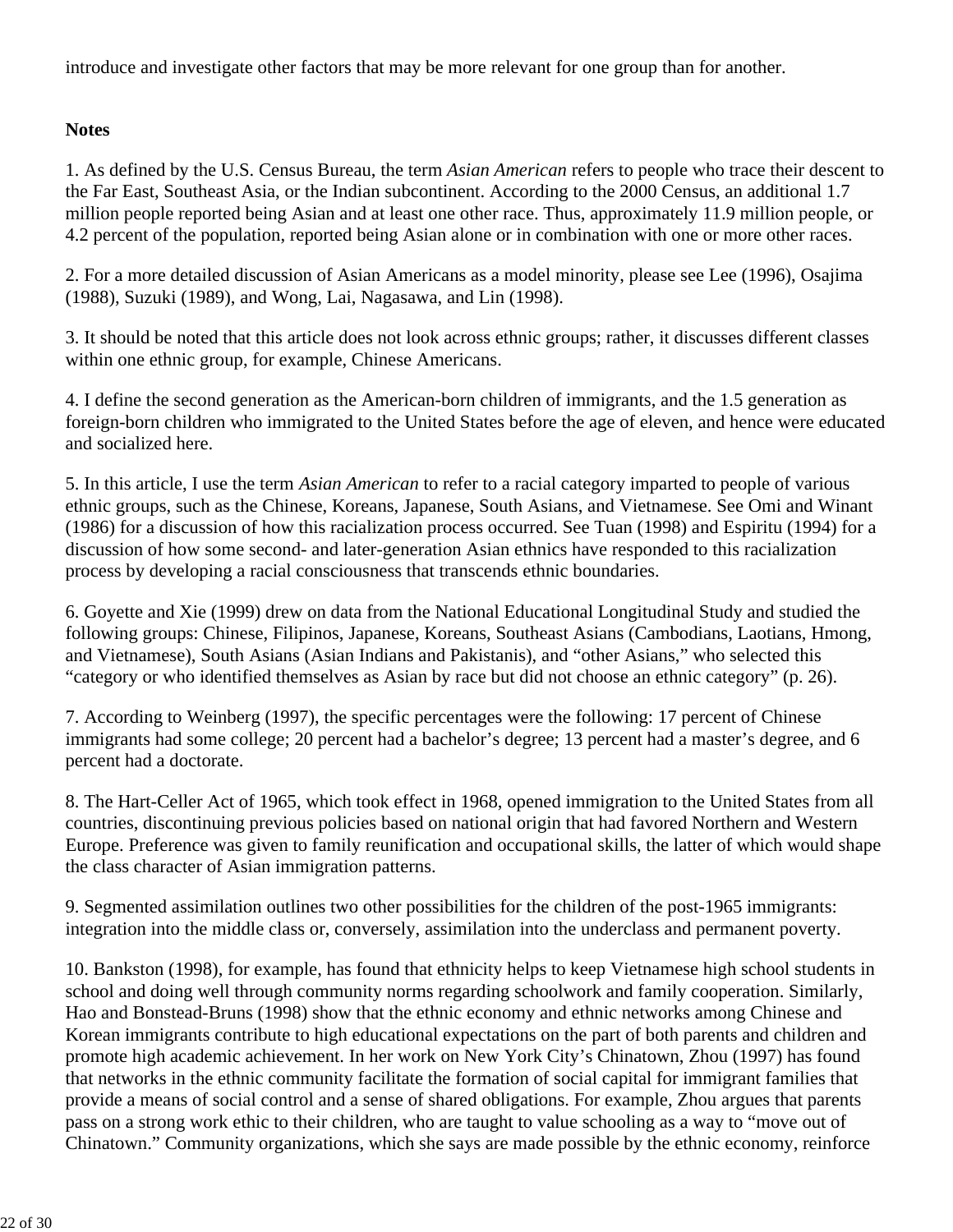introduce and investigate other factors that may be more relevant for one group than for another.

## **Notes**

1. As defined by the U.S. Census Bureau, the term *Asian American* refers to people who trace their descent to the Far East, Southeast Asia, or the Indian subcontinent. According to the 2000 Census, an additional 1.7 million people reported being Asian and at least one other race. Thus, approximately 11.9 million people, or 4.2 percent of the population, reported being Asian alone or in combination with one or more other races.

2. For a more detailed discussion of Asian Americans as a model minority, please see Lee (1996), Osajima (1988), Suzuki (1989), and Wong, Lai, Nagasawa, and Lin (1998).

3. It should be noted that this article does not look across ethnic groups; rather, it discusses different classes within one ethnic group, for example, Chinese Americans.

4. I define the second generation as the American-born children of immigrants, and the 1.5 generation as foreign-born children who immigrated to the United States before the age of eleven, and hence were educated and socialized here.

5. In this article, I use the term *Asian American* to refer to a racial category imparted to people of various ethnic groups, such as the Chinese, Koreans, Japanese, South Asians, and Vietnamese. See Omi and Winant (1986) for a discussion of how this racialization process occurred. See Tuan (1998) and Espiritu (1994) for a discussion of how some second- and later-generation Asian ethnics have responded to this racialization process by developing a racial consciousness that transcends ethnic boundaries.

6. Goyette and Xie (1999) drew on data from the National Educational Longitudinal Study and studied the following groups: Chinese, Filipinos, Japanese, Koreans, Southeast Asians (Cambodians, Laotians, Hmong, and Vietnamese), South Asians (Asian Indians and Pakistanis), and "other Asians," who selected this "category or who identified themselves as Asian by race but did not choose an ethnic category" (p. 26).

7. According to Weinberg (1997), the specific percentages were the following: 17 percent of Chinese immigrants had some college; 20 percent had a bachelor's degree; 13 percent had a master's degree, and 6 percent had a doctorate.

8. The Hart-Celler Act of 1965, which took effect in 1968, opened immigration to the United States from all countries, discontinuing previous policies based on national origin that had favored Northern and Western Europe. Preference was given to family reunification and occupational skills, the latter of which would shape the class character of Asian immigration patterns.

9. Segmented assimilation outlines two other possibilities for the children of the post-1965 immigrants: integration into the middle class or, conversely, assimilation into the underclass and permanent poverty.

10. Bankston (1998), for example, has found that ethnicity helps to keep Vietnamese high school students in school and doing well through community norms regarding schoolwork and family cooperation. Similarly, Hao and Bonstead-Bruns (1998) show that the ethnic economy and ethnic networks among Chinese and Korean immigrants contribute to high educational expectations on the part of both parents and children and promote high academic achievement. In her work on New York City's Chinatown, Zhou (1997) has found that networks in the ethnic community facilitate the formation of social capital for immigrant families that provide a means of social control and a sense of shared obligations. For example, Zhou argues that parents pass on a strong work ethic to their children, who are taught to value schooling as a way to "move out of Chinatown." Community organizations, which she says are made possible by the ethnic economy, reinforce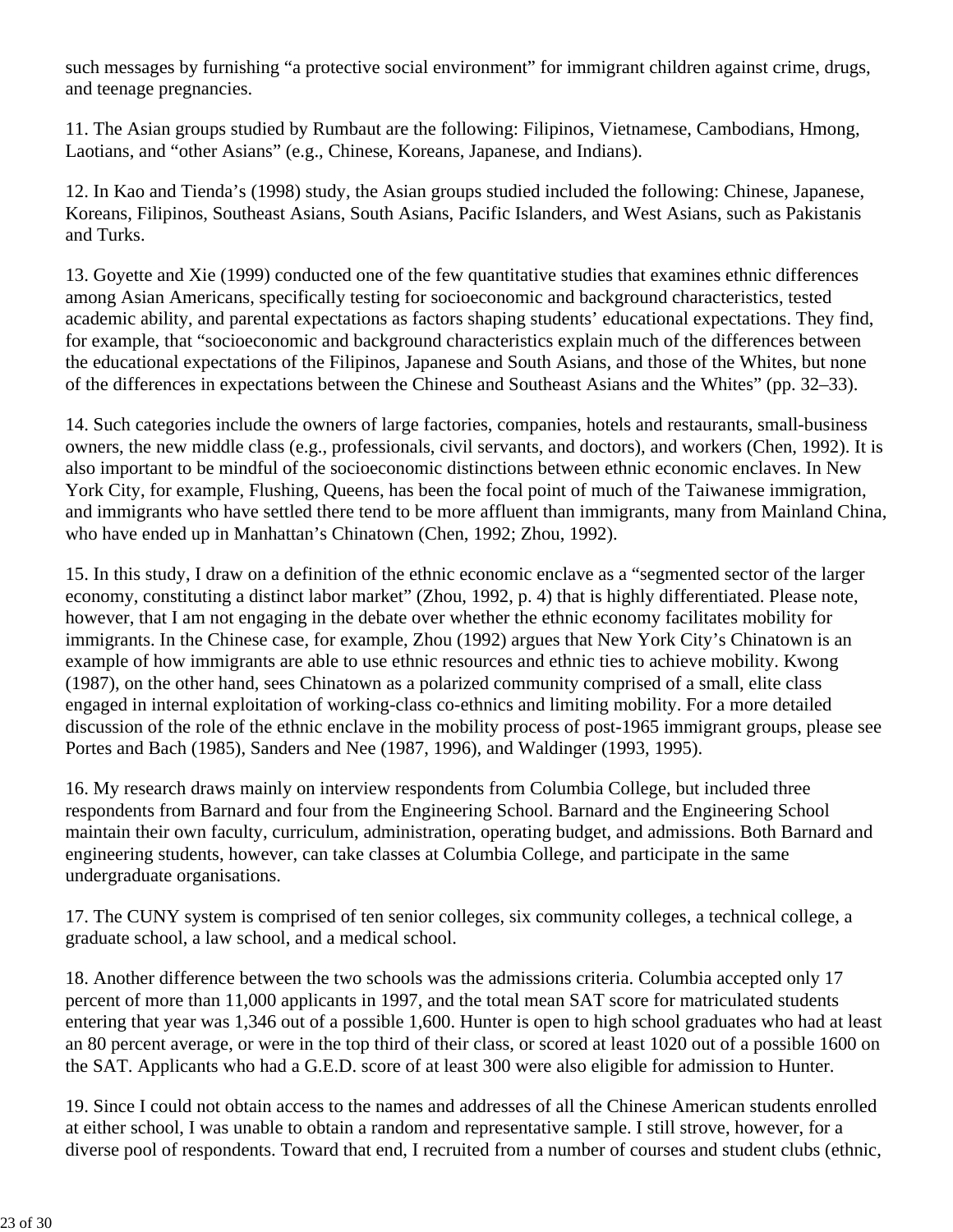such messages by furnishing "a protective social environment" for immigrant children against crime, drugs, and teenage pregnancies.

11. The Asian groups studied by Rumbaut are the following: Filipinos, Vietnamese, Cambodians, Hmong, Laotians, and "other Asians" (e.g., Chinese, Koreans, Japanese, and Indians).

12. In Kao and Tienda's (1998) study, the Asian groups studied included the following: Chinese, Japanese, Koreans, Filipinos, Southeast Asians, South Asians, Pacific Islanders, and West Asians, such as Pakistanis and Turks.

13. Goyette and Xie (1999) conducted one of the few quantitative studies that examines ethnic differences among Asian Americans, specifically testing for socioeconomic and background characteristics, tested academic ability, and parental expectations as factors shaping students' educational expectations. They find, for example, that "socioeconomic and background characteristics explain much of the differences between the educational expectations of the Filipinos, Japanese and South Asians, and those of the Whites, but none of the differences in expectations between the Chinese and Southeast Asians and the Whites" (pp. 32–33).

14. Such categories include the owners of large factories, companies, hotels and restaurants, small-business owners, the new middle class (e.g., professionals, civil servants, and doctors), and workers (Chen, 1992). It is also important to be mindful of the socioeconomic distinctions between ethnic economic enclaves. In New York City, for example, Flushing, Queens, has been the focal point of much of the Taiwanese immigration, and immigrants who have settled there tend to be more affluent than immigrants, many from Mainland China, who have ended up in Manhattan's Chinatown (Chen, 1992; Zhou, 1992).

15. In this study, I draw on a definition of the ethnic economic enclave as a "segmented sector of the larger economy, constituting a distinct labor market" (Zhou, 1992, p. 4) that is highly differentiated. Please note, however, that I am not engaging in the debate over whether the ethnic economy facilitates mobility for immigrants. In the Chinese case, for example, Zhou (1992) argues that New York City's Chinatown is an example of how immigrants are able to use ethnic resources and ethnic ties to achieve mobility. Kwong (1987), on the other hand, sees Chinatown as a polarized community comprised of a small, elite class engaged in internal exploitation of working-class co-ethnics and limiting mobility. For a more detailed discussion of the role of the ethnic enclave in the mobility process of post-1965 immigrant groups, please see Portes and Bach (1985), Sanders and Nee (1987, 1996), and Waldinger (1993, 1995).

16. My research draws mainly on interview respondents from Columbia College, but included three respondents from Barnard and four from the Engineering School. Barnard and the Engineering School maintain their own faculty, curriculum, administration, operating budget, and admissions. Both Barnard and engineering students, however, can take classes at Columbia College, and participate in the same undergraduate organisations.

17. The CUNY system is comprised of ten senior colleges, six community colleges, a technical college, a graduate school, a law school, and a medical school.

18. Another difference between the two schools was the admissions criteria. Columbia accepted only 17 percent of more than 11,000 applicants in 1997, and the total mean SAT score for matriculated students entering that year was 1,346 out of a possible 1,600. Hunter is open to high school graduates who had at least an 80 percent average, or were in the top third of their class, or scored at least 1020 out of a possible 1600 on the SAT. Applicants who had a G.E.D. score of at least 300 were also eligible for admission to Hunter.

19. Since I could not obtain access to the names and addresses of all the Chinese American students enrolled at either school, I was unable to obtain a random and representative sample. I still strove, however, for a diverse pool of respondents. Toward that end, I recruited from a number of courses and student clubs (ethnic,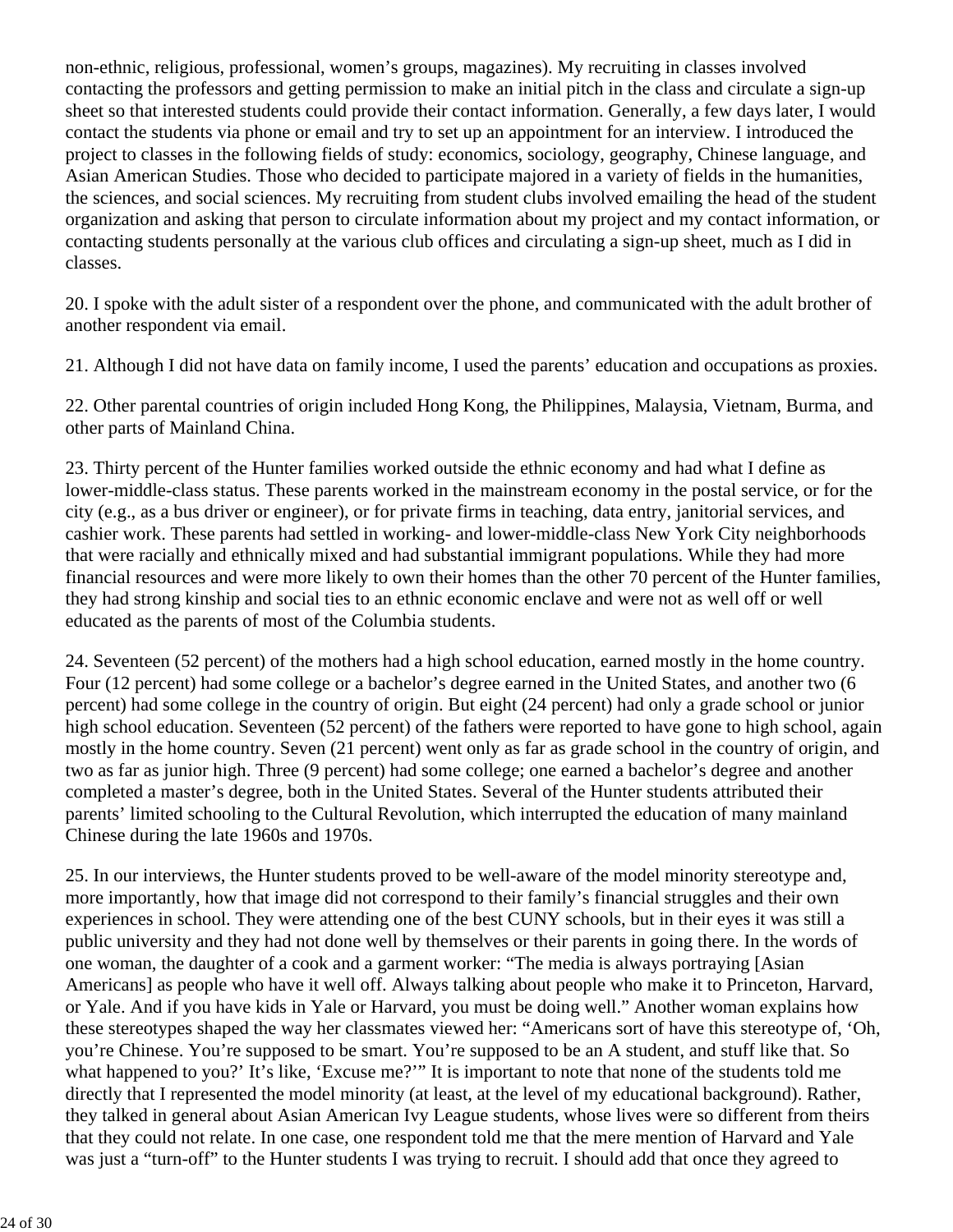non-ethnic, religious, professional, women's groups, magazines). My recruiting in classes involved contacting the professors and getting permission to make an initial pitch in the class and circulate a sign-up sheet so that interested students could provide their contact information. Generally, a few days later, I would contact the students via phone or email and try to set up an appointment for an interview. I introduced the project to classes in the following fields of study: economics, sociology, geography, Chinese language, and Asian American Studies. Those who decided to participate majored in a variety of fields in the humanities, the sciences, and social sciences. My recruiting from student clubs involved emailing the head of the student organization and asking that person to circulate information about my project and my contact information, or contacting students personally at the various club offices and circulating a sign-up sheet, much as I did in classes.

20. I spoke with the adult sister of a respondent over the phone, and communicated with the adult brother of another respondent via email.

21. Although I did not have data on family income, I used the parents' education and occupations as proxies.

22. Other parental countries of origin included Hong Kong, the Philippines, Malaysia, Vietnam, Burma, and other parts of Mainland China.

23. Thirty percent of the Hunter families worked outside the ethnic economy and had what I define as lower-middle-class status. These parents worked in the mainstream economy in the postal service, or for the city (e.g., as a bus driver or engineer), or for private firms in teaching, data entry, janitorial services, and cashier work. These parents had settled in working- and lower-middle-class New York City neighborhoods that were racially and ethnically mixed and had substantial immigrant populations. While they had more financial resources and were more likely to own their homes than the other 70 percent of the Hunter families, they had strong kinship and social ties to an ethnic economic enclave and were not as well off or well educated as the parents of most of the Columbia students.

24. Seventeen (52 percent) of the mothers had a high school education, earned mostly in the home country. Four (12 percent) had some college or a bachelor's degree earned in the United States, and another two (6 percent) had some college in the country of origin. But eight (24 percent) had only a grade school or junior high school education. Seventeen (52 percent) of the fathers were reported to have gone to high school, again mostly in the home country. Seven (21 percent) went only as far as grade school in the country of origin, and two as far as junior high. Three (9 percent) had some college; one earned a bachelor's degree and another completed a master's degree, both in the United States. Several of the Hunter students attributed their parents' limited schooling to the Cultural Revolution, which interrupted the education of many mainland Chinese during the late 1960s and 1970s.

25. In our interviews, the Hunter students proved to be well-aware of the model minority stereotype and, more importantly, how that image did not correspond to their family's financial struggles and their own experiences in school. They were attending one of the best CUNY schools, but in their eyes it was still a public university and they had not done well by themselves or their parents in going there. In the words of one woman, the daughter of a cook and a garment worker: "The media is always portraying [Asian Americans] as people who have it well off. Always talking about people who make it to Princeton, Harvard, or Yale. And if you have kids in Yale or Harvard, you must be doing well." Another woman explains how these stereotypes shaped the way her classmates viewed her: "Americans sort of have this stereotype of, 'Oh, you're Chinese. You're supposed to be smart. You're supposed to be an A student, and stuff like that. So what happened to you?' It's like, 'Excuse me?'" It is important to note that none of the students told me directly that I represented the model minority (at least, at the level of my educational background). Rather, they talked in general about Asian American Ivy League students, whose lives were so different from theirs that they could not relate. In one case, one respondent told me that the mere mention of Harvard and Yale was just a "turn-off" to the Hunter students I was trying to recruit. I should add that once they agreed to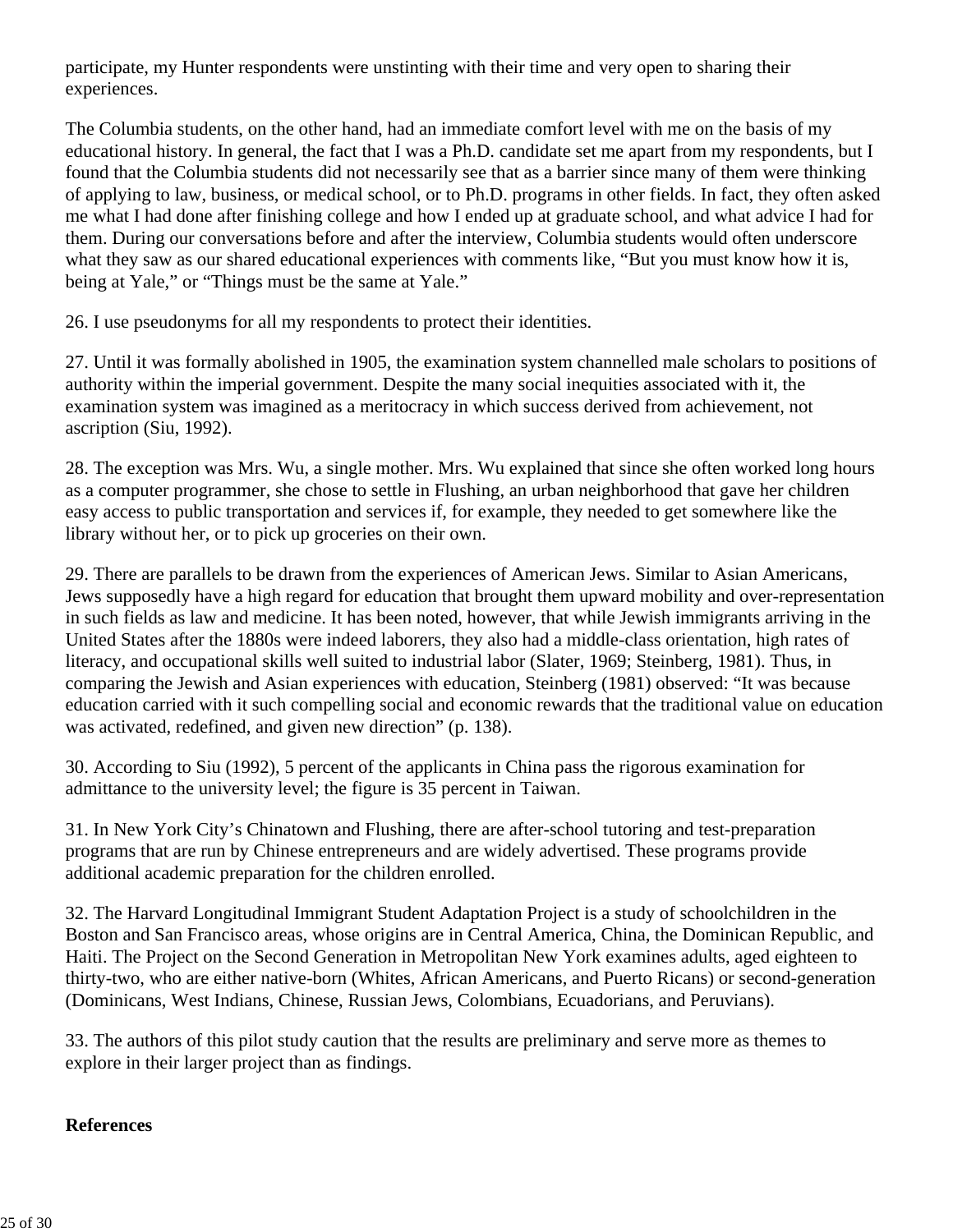participate, my Hunter respondents were unstinting with their time and very open to sharing their experiences.

The Columbia students, on the other hand, had an immediate comfort level with me on the basis of my educational history. In general, the fact that I was a Ph.D. candidate set me apart from my respondents, but I found that the Columbia students did not necessarily see that as a barrier since many of them were thinking of applying to law, business, or medical school, or to Ph.D. programs in other fields. In fact, they often asked me what I had done after finishing college and how I ended up at graduate school, and what advice I had for them. During our conversations before and after the interview, Columbia students would often underscore what they saw as our shared educational experiences with comments like, "But you must know how it is, being at Yale," or "Things must be the same at Yale."

26. I use pseudonyms for all my respondents to protect their identities.

27. Until it was formally abolished in 1905, the examination system channelled male scholars to positions of authority within the imperial government. Despite the many social inequities associated with it, the examination system was imagined as a meritocracy in which success derived from achievement, not ascription (Siu, 1992).

28. The exception was Mrs. Wu, a single mother. Mrs. Wu explained that since she often worked long hours as a computer programmer, she chose to settle in Flushing, an urban neighborhood that gave her children easy access to public transportation and services if, for example, they needed to get somewhere like the library without her, or to pick up groceries on their own.

29. There are parallels to be drawn from the experiences of American Jews. Similar to Asian Americans, Jews supposedly have a high regard for education that brought them upward mobility and over-representation in such fields as law and medicine. It has been noted, however, that while Jewish immigrants arriving in the United States after the 1880s were indeed laborers, they also had a middle-class orientation, high rates of literacy, and occupational skills well suited to industrial labor (Slater, 1969; Steinberg, 1981). Thus, in comparing the Jewish and Asian experiences with education, Steinberg (1981) observed: "It was because education carried with it such compelling social and economic rewards that the traditional value on education was activated, redefined, and given new direction" (p. 138).

30. According to Siu (1992), 5 percent of the applicants in China pass the rigorous examination for admittance to the university level; the figure is 35 percent in Taiwan.

31. In New York City's Chinatown and Flushing, there are after-school tutoring and test-preparation programs that are run by Chinese entrepreneurs and are widely advertised. These programs provide additional academic preparation for the children enrolled.

32. The Harvard Longitudinal Immigrant Student Adaptation Project is a study of schoolchildren in the Boston and San Francisco areas, whose origins are in Central America, China, the Dominican Republic, and Haiti. The Project on the Second Generation in Metropolitan New York examines adults, aged eighteen to thirty-two, who are either native-born (Whites, African Americans, and Puerto Ricans) or second-generation (Dominicans, West Indians, Chinese, Russian Jews, Colombians, Ecuadorians, and Peruvians).

33. The authors of this pilot study caution that the results are preliminary and serve more as themes to explore in their larger project than as findings.

#### **References**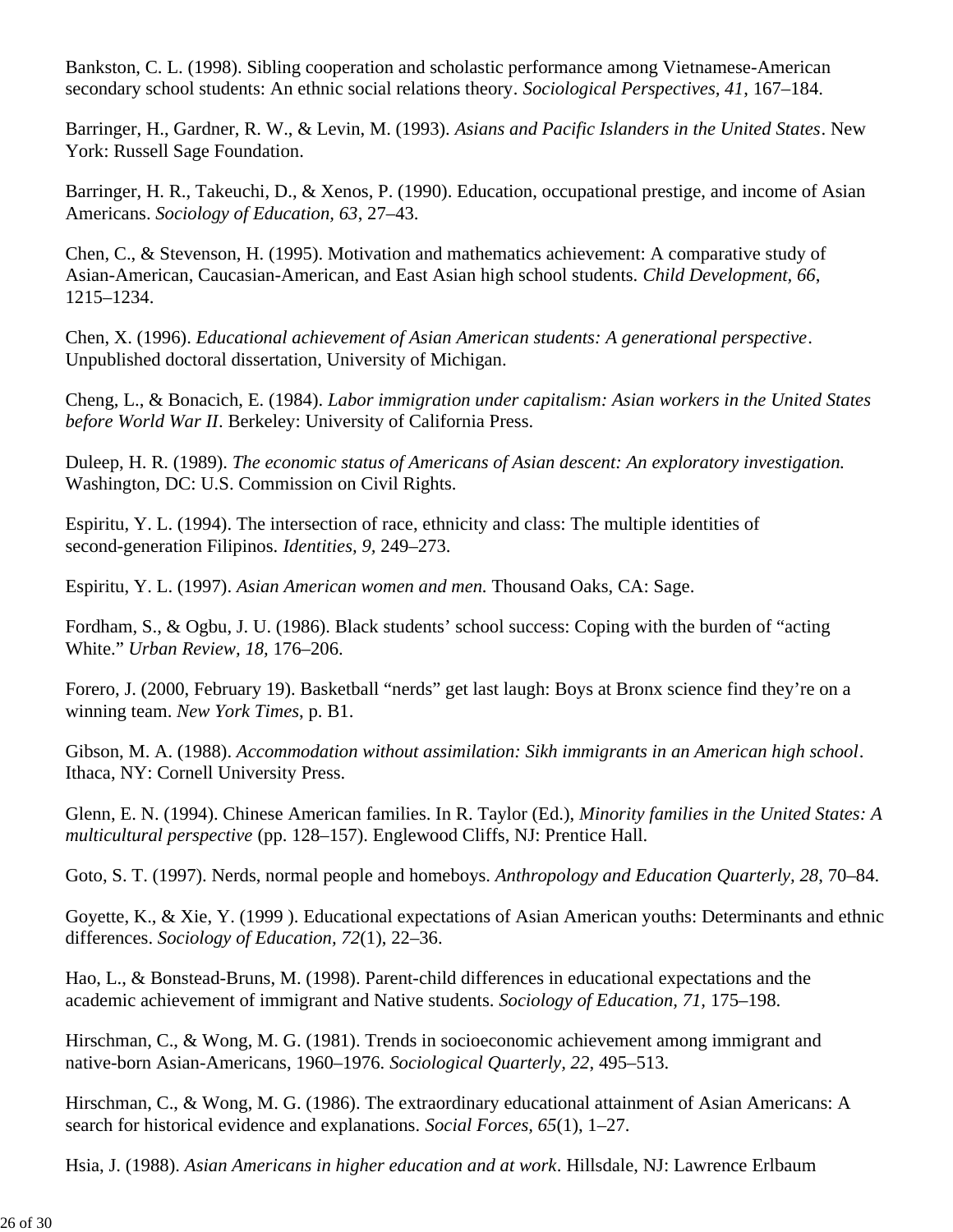Bankston, C. L. (1998). Sibling cooperation and scholastic performance among Vietnamese-American secondary school students: An ethnic social relations theory*. Sociological Perspectives, 41*, 167–184.

Barringer, H., Gardner, R. W., & Levin, M. (1993). *Asians and Pacific Islanders in the United States*. New York: Russell Sage Foundation.

Barringer, H. R., Takeuchi, D., & Xenos, P. (1990). Education, occupational prestige, and income of Asian Americans. *Sociology of Education, 63*, 27–43.

Chen, C., & Stevenson, H. (1995). Motivation and mathematics achievement: A comparative study of Asian-American, Caucasian-American, and East Asian high school students. *Child Development, 66*, 1215–1234.

Chen, X. (1996). *Educational achievement of Asian American students: A generational perspective*. Unpublished doctoral dissertation, University of Michigan.

Cheng, L., & Bonacich, E. (1984). *Labor immigration under capitalism: Asian workers in the United States before World War II*. Berkeley: University of California Press.

Duleep, H. R. (1989). *The economic status of Americans of Asian descent: An exploratory investigation.* Washington, DC: U.S. Commission on Civil Rights.

Espiritu, Y. L. (1994). The intersection of race, ethnicity and class: The multiple identities of second-generation Filipinos. *Identities, 9,* 249–273.

Espiritu, Y. L. (1997). *Asian American women and men.* Thousand Oaks, CA: Sage.

Fordham, S., & Ogbu, J. U. (1986). Black students' school success: Coping with the burden of "acting White." *Urban Review, 18,* 176–206.

Forero, J. (2000, February 19). Basketball "nerds" get last laugh: Boys at Bronx science find they're on a winning team. *New York Times*, p. B1.

Gibson, M. A. (1988). *Accommodation without assimilation: Sikh immigrants in an American high school*. Ithaca, NY: Cornell University Press.

Glenn, E. N. (1994). Chinese American families. In R. Taylor (Ed.), *Minority families in the United States: A multicultural perspective* (pp. 128–157). Englewood Cliffs, NJ: Prentice Hall.

Goto, S. T. (1997). Nerds, normal people and homeboys. *Anthropology and Education Quarterly, 28*, 70–84.

Goyette, K., & Xie, Y. (1999 ). Educational expectations of Asian American youths: Determinants and ethnic differences. *Sociology of Education, 72*(1), 22–36.

Hao, L., & Bonstead-Bruns, M. (1998). Parent-child differences in educational expectations and the academic achievement of immigrant and Native students. *Sociology of Education, 71,* 175–198.

Hirschman, C., & Wong, M. G. (1981). Trends in socioeconomic achievement among immigrant and native-born Asian-Americans, 1960–1976. *Sociological Quarterly, 22*, 495–513.

Hirschman, C., & Wong, M. G. (1986). The extraordinary educational attainment of Asian Americans: A search for historical evidence and explanations. *Social Forces, 65*(1), 1–27.

Hsia, J. (1988). *Asian Americans in higher education and at work*. Hillsdale, NJ: Lawrence Erlbaum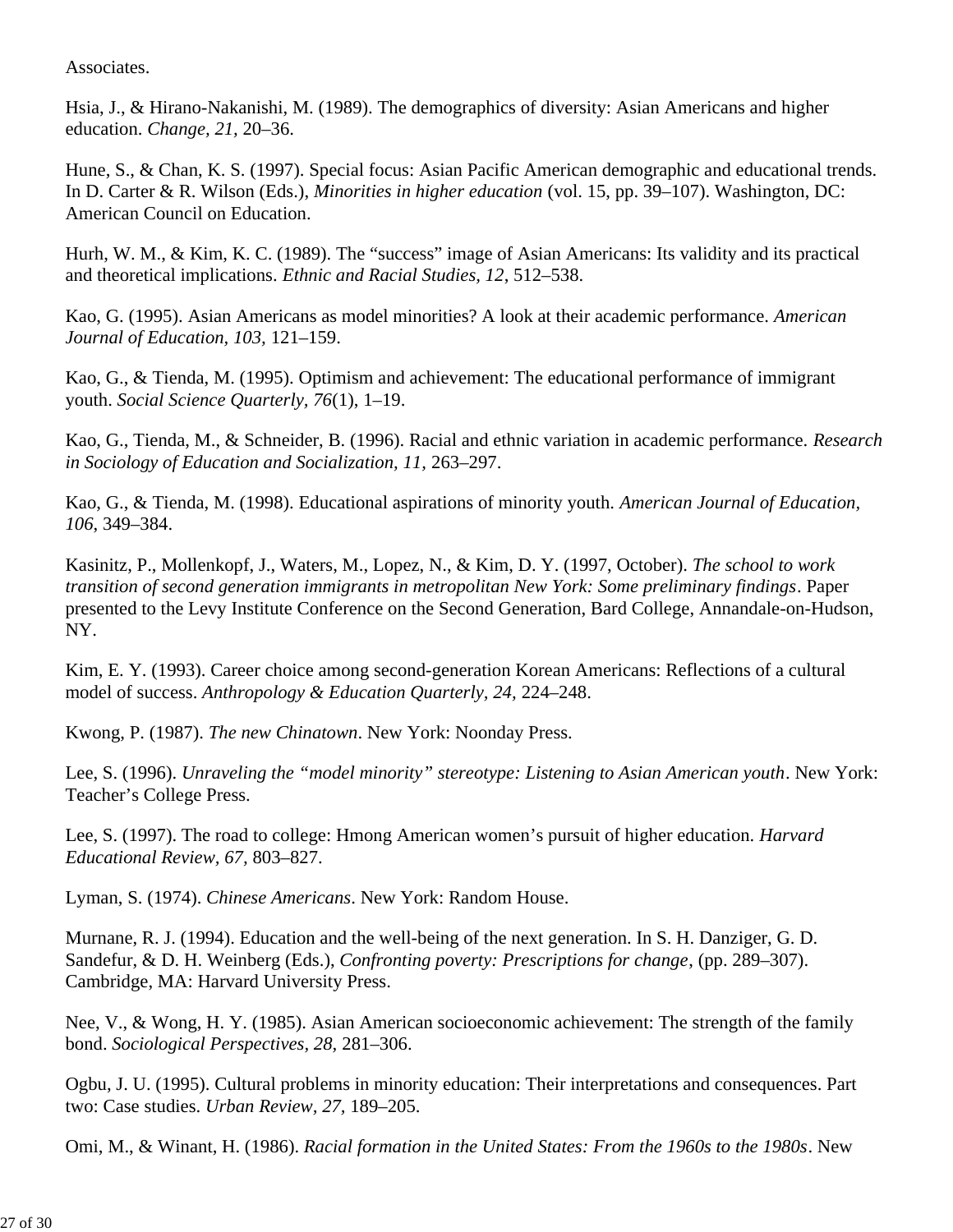Associates.

Hsia, J., & Hirano-Nakanishi, M. (1989). The demographics of diversity: Asian Americans and higher education. *Change, 21,* 20–36.

Hune, S., & Chan, K. S. (1997). Special focus: Asian Pacific American demographic and educational trends. In D. Carter & R. Wilson (Eds.), *Minorities in higher education* (vol. 15, pp. 39–107). Washington, DC: American Council on Education.

Hurh, W. M., & Kim, K. C. (1989). The "success" image of Asian Americans: Its validity and its practical and theoretical implications. *Ethnic and Racial Studies, 12*, 512–538.

Kao, G. (1995). Asian Americans as model minorities? A look at their academic performance. *American Journal of Education, 103,* 121–159.

Kao, G., & Tienda, M. (1995). Optimism and achievement: The educational performance of immigrant youth. *Social Science Quarterly, 76*(1), 1–19.

Kao, G., Tienda, M., & Schneider, B. (1996). Racial and ethnic variation in academic performance. *Research in Sociology of Education and Socialization, 11,* 263–297.

Kao, G., & Tienda, M. (1998). Educational aspirations of minority youth. *American Journal of Education, 106*, 349–384.

Kasinitz, P., Mollenkopf, J., Waters, M., Lopez, N., & Kim, D. Y. (1997, October). *The school to work transition of second generation immigrants in metropolitan New York: Some preliminary findings*. Paper presented to the Levy Institute Conference on the Second Generation, Bard College, Annandale-on-Hudson, NY.

Kim, E. Y. (1993). Career choice among second-generation Korean Americans: Reflections of a cultural model of success. *Anthropology & Education Quarterly, 24,* 224–248.

Kwong, P. (1987). *The new Chinatown*. New York: Noonday Press.

Lee, S. (1996). *Unraveling the "model minority" stereotype: Listening to Asian American youth*. New York: Teacher's College Press.

Lee, S. (1997). The road to college: Hmong American women's pursuit of higher education. *Harvard Educational Review, 67,* 803–827.

Lyman, S. (1974). *Chinese Americans*. New York: Random House.

Murnane, R. J. (1994). Education and the well-being of the next generation. In S. H. Danziger, G. D. Sandefur, & D. H. Weinberg (Eds.), *Confronting poverty: Prescriptions for change*, (pp. 289–307). Cambridge, MA: Harvard University Press.

Nee, V., & Wong, H. Y. (1985). Asian American socioeconomic achievement: The strength of the family bond. *Sociological Perspectives, 28,* 281–306.

Ogbu, J. U. (1995). Cultural problems in minority education: Their interpretations and consequences. Part two: Case studies. *Urban Review, 27,* 189–205.

Omi, M., & Winant, H. (1986). *Racial formation in the United States: From the 1960s to the 1980s*. New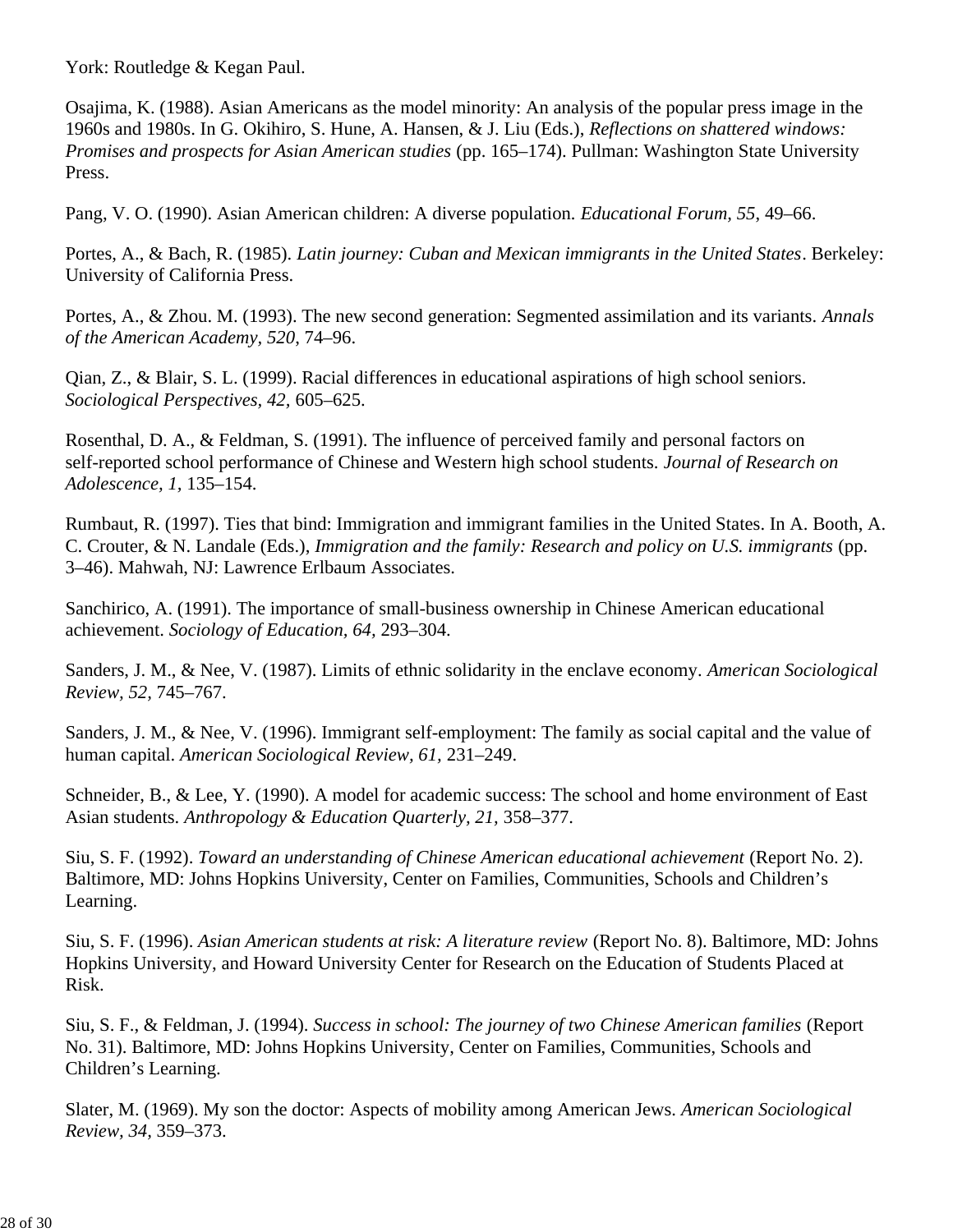York: Routledge & Kegan Paul.

Osajima, K. (1988). Asian Americans as the model minority: An analysis of the popular press image in the 1960s and 1980s. In G. Okihiro, S. Hune, A. Hansen, & J. Liu (Eds.), *Reflections on shattered windows: Promises and prospects for Asian American studies* (pp. 165–174). Pullman: Washington State University Press.

Pang, V. O. (1990). Asian American children: A diverse population*. Educational Forum, 55*, 49–66.

Portes, A., & Bach, R. (1985). *Latin journey: Cuban and Mexican immigrants in the United States*. Berkeley: University of California Press.

Portes, A., & Zhou. M. (1993). The new second generation: Segmented assimilation and its variants. *Annals of the American Academy, 520*, 74–96.

Qian, Z., & Blair, S. L. (1999). Racial differences in educational aspirations of high school seniors. *Sociological Perspectives, 42,* 605–625.

Rosenthal, D. A., & Feldman, S. (1991). The influence of perceived family and personal factors on self-reported school performance of Chinese and Western high school students. *Journal of Research on Adolescence, 1,* 135–154.

Rumbaut, R. (1997). Ties that bind: Immigration and immigrant families in the United States. In A. Booth, A. C. Crouter, & N. Landale (Eds.), *Immigration and the family: Research and policy on U.S. immigrants* (pp. 3–46). Mahwah, NJ: Lawrence Erlbaum Associates.

Sanchirico, A. (1991). The importance of small-business ownership in Chinese American educational achievement. *Sociology of Education, 64,* 293–304.

Sanders, J. M., & Nee, V. (1987). Limits of ethnic solidarity in the enclave economy. *American Sociological Review, 52,* 745–767.

Sanders, J. M., & Nee, V. (1996). Immigrant self-employment: The family as social capital and the value of human capital. *American Sociological Review, 61,* 231–249.

Schneider, B., & Lee, Y. (1990). A model for academic success: The school and home environment of East Asian students. *Anthropology & Education Quarterly, 21,* 358–377.

Siu, S. F. (1992). *Toward an understanding of Chinese American educational achievement* (Report No. 2). Baltimore, MD: Johns Hopkins University, Center on Families, Communities, Schools and Children's Learning.

Siu, S. F. (1996). *Asian American students at risk: A literature review* (Report No. 8). Baltimore, MD: Johns Hopkins University, and Howard University Center for Research on the Education of Students Placed at Risk.

Siu, S. F., & Feldman, J. (1994). *Success in school: The journey of two Chinese American families* (Report No. 31). Baltimore, MD: Johns Hopkins University, Center on Families, Communities, Schools and Children's Learning.

Slater, M. (1969). My son the doctor: Aspects of mobility among American Jews. *American Sociological Review, 34,* 359–373.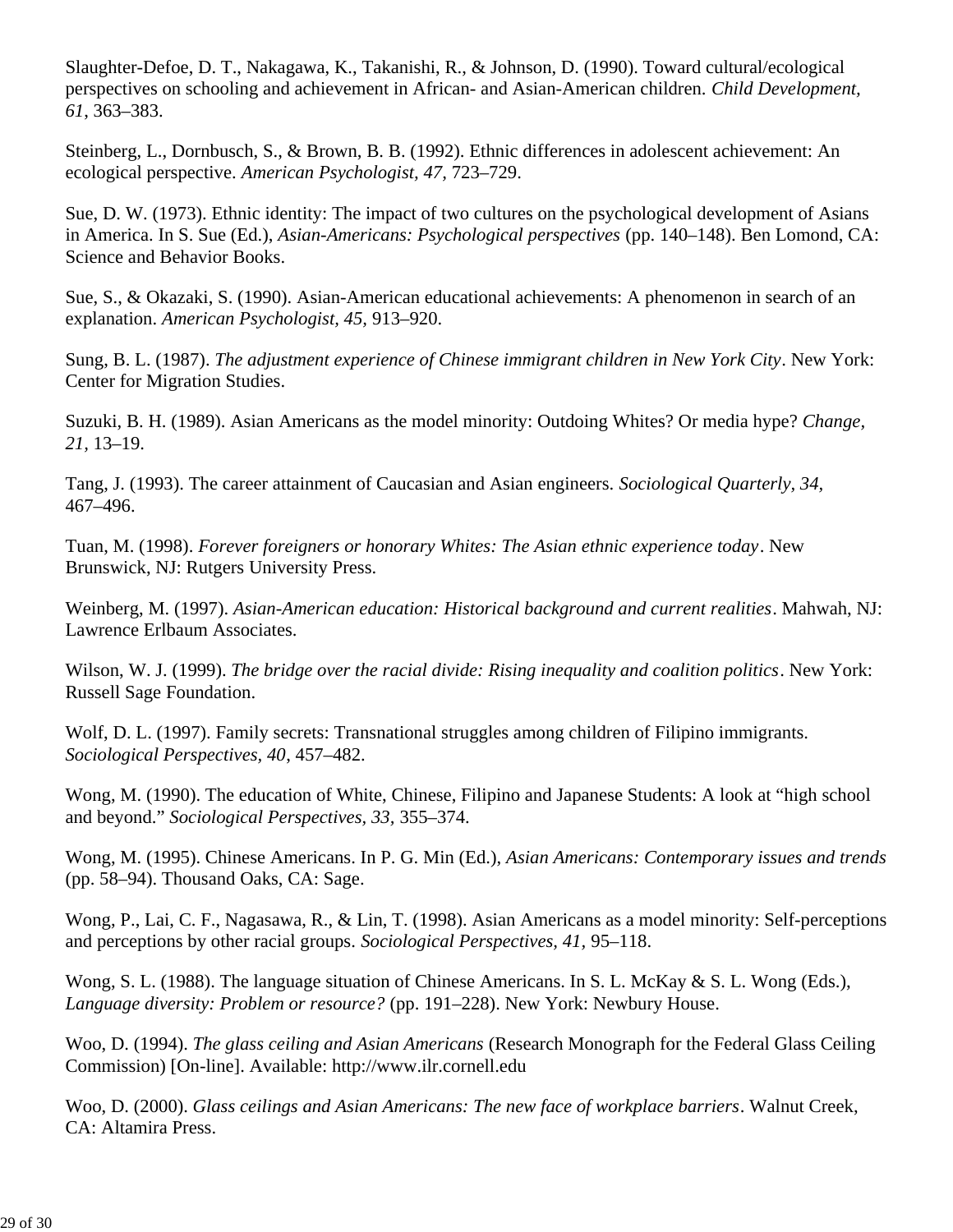Slaughter-Defoe, D. T., Nakagawa, K., Takanishi, R., & Johnson, D. (1990). Toward cultural/ecological perspectives on schooling and achievement in African- and Asian-American children. *Child Development, 61*, 363–383.

Steinberg, L., Dornbusch, S., & Brown, B. B. (1992). Ethnic differences in adolescent achievement: An ecological perspective. *American Psychologist, 47,* 723–729.

Sue, D. W. (1973). Ethnic identity: The impact of two cultures on the psychological development of Asians in America. In S. Sue (Ed.), *Asian-Americans: Psychological perspectives* (pp. 140–148). Ben Lomond, CA: Science and Behavior Books.

Sue, S., & Okazaki, S. (1990). Asian-American educational achievements: A phenomenon in search of an explanation. *American Psychologist, 45,* 913–920.

Sung, B. L. (1987). *The adjustment experience of Chinese immigrant children in New York City*. New York: Center for Migration Studies.

Suzuki, B. H. (1989). Asian Americans as the model minority: Outdoing Whites? Or media hype? *Change, 21,* 13–19.

Tang, J. (1993). The career attainment of Caucasian and Asian engineers. *Sociological Quarterly, 34,* 467–496.

Tuan, M. (1998). *Forever foreigners or honorary Whites: The Asian ethnic experience today*. New Brunswick, NJ: Rutgers University Press.

Weinberg, M. (1997). *Asian-American education: Historical background and current realities*. Mahwah, NJ: Lawrence Erlbaum Associates.

Wilson, W. J. (1999). *The bridge over the racial divide: Rising inequality and coalition politics*. New York: Russell Sage Foundation.

Wolf, D. L. (1997). Family secrets: Transnational struggles among children of Filipino immigrants. *Sociological Perspectives, 40*, 457–482.

Wong, M. (1990). The education of White, Chinese, Filipino and Japanese Students: A look at "high school and beyond." *Sociological Perspectives, 33,* 355–374.

Wong, M. (1995). Chinese Americans. In P. G. Min (Ed.), *Asian Americans: Contemporary issues and trends* (pp. 58–94). Thousand Oaks, CA: Sage.

Wong, P., Lai, C. F., Nagasawa, R., & Lin, T. (1998). Asian Americans as a model minority: Self-perceptions and perceptions by other racial groups. *Sociological Perspectives, 41,* 95–118.

Wong, S. L. (1988). The language situation of Chinese Americans. In S. L. McKay & S. L. Wong (Eds.), *Language diversity: Problem or resource?* (pp. 191–228). New York: Newbury House.

Woo, D. (1994). *The glass ceiling and Asian Americans* (Research Monograph for the Federal Glass Ceiling Commission) [On-line]. Available: http://www.ilr.cornell.edu

Woo, D. (2000). *Glass ceilings and Asian Americans: The new face of workplace barriers*. Walnut Creek, CA: Altamira Press.